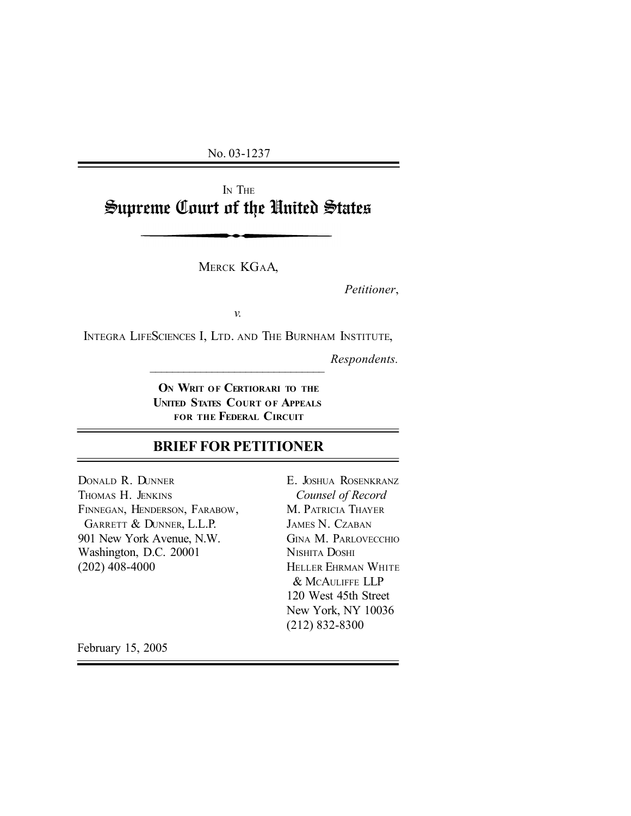No. 03-1237

I<sup>N</sup> THE Supreme Court of the United States

MERCK KGAA,

*Petitioner*,

*v.*

INTEGRA LIFESCIENCES I, LTD. AND THE BURNHAM INSTITUTE,

 $\mathcal{L}_\text{max}$ 

*Respondents.*

**O<sup>N</sup> WRIT OF CERTIORARI TO THE UNITED STATES COURT OF APPEALS FOR THE FEDERAL CIRCUIT**

# **BRIEF FOR PETITIONER**

DONALD R. DUNNER THOMAS H. JENKINS FINNEGAN, HENDERSON, FARABOW, GARRETT & DUNNER, L.L.P. 901 New York Avenue, N.W. Washington, D.C. 20001 (202) 408-4000

E. JOSHUA ROSENKRANZ *Counsel of Record* M. PATRICIA THAYER JAMES N. CZABAN GINA M. PARLOVECCHIO NISHITA DOSHI HELLER EHRMAN WHITE & MCAULIFFE LLP 120 West 45th Street New York, NY 10036 (212) 832-8300

February 15, 2005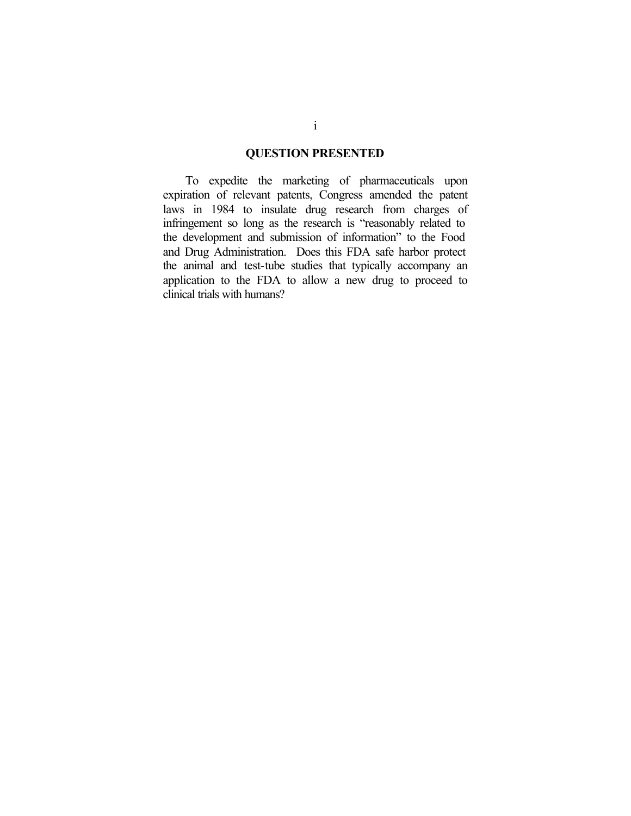### **QUESTION PRESENTED**

To expedite the marketing of pharmaceuticals upon expiration of relevant patents, Congress amended the patent laws in 1984 to insulate drug research from charges of infringement so long as the research is "reasonably related to the development and submission of information" to the Food and Drug Administration. Does this FDA safe harbor protect the animal and test-tube studies that typically accompany an application to the FDA to allow a new drug to proceed to clinical trials with humans?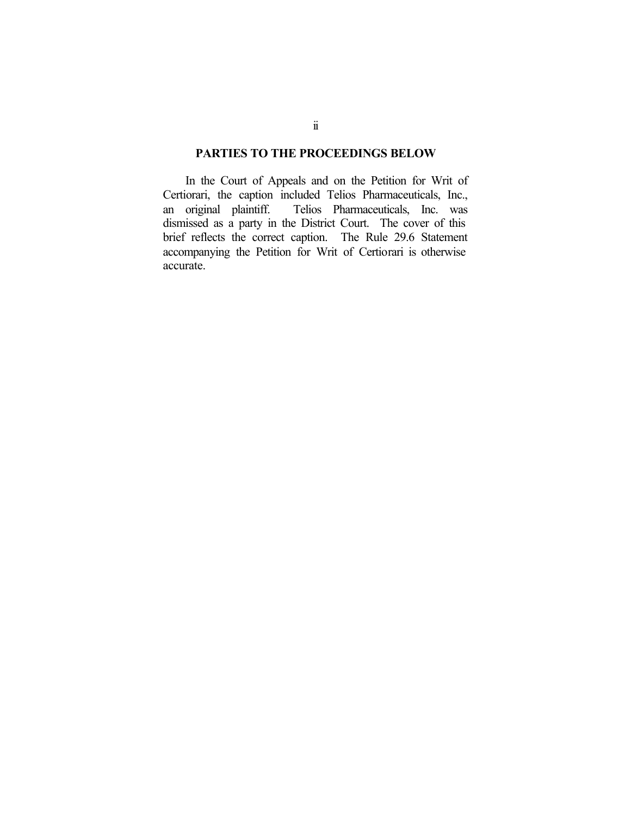### **PARTIES TO THE PROCEEDINGS BELOW**

In the Court of Appeals and on the Petition for Writ of Certiorari, the caption included Telios Pharmaceuticals, Inc., Telios Pharmaceuticals, Inc. was dismissed as a party in the District Court. The cover of this brief reflects the correct caption. The Rule 29.6 Statement accompanying the Petition for Writ of Certiorari is otherwise accurate.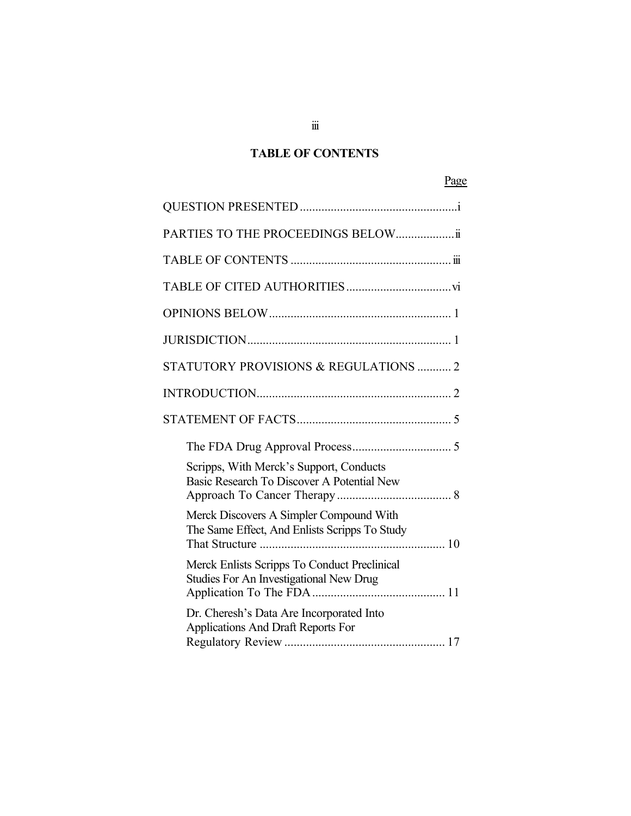# **TABLE OF CONTENTS**

# Page

| PARTIES TO THE PROCEEDINGS BELOWii                                                       |  |
|------------------------------------------------------------------------------------------|--|
|                                                                                          |  |
|                                                                                          |  |
|                                                                                          |  |
|                                                                                          |  |
| STATUTORY PROVISIONS & REGULATIONS  2                                                    |  |
|                                                                                          |  |
|                                                                                          |  |
|                                                                                          |  |
| Scripps, With Merck's Support, Conducts<br>Basic Research To Discover A Potential New    |  |
| Merck Discovers A Simpler Compound With<br>The Same Effect, And Enlists Scripps To Study |  |
| Merck Enlists Scripps To Conduct Preclinical<br>Studies For An Investigational New Drug  |  |
| Dr. Cheresh's Data Are Incorporated Into<br>Applications And Draft Reports For           |  |

 $\dddot{\mathbb{ii}}$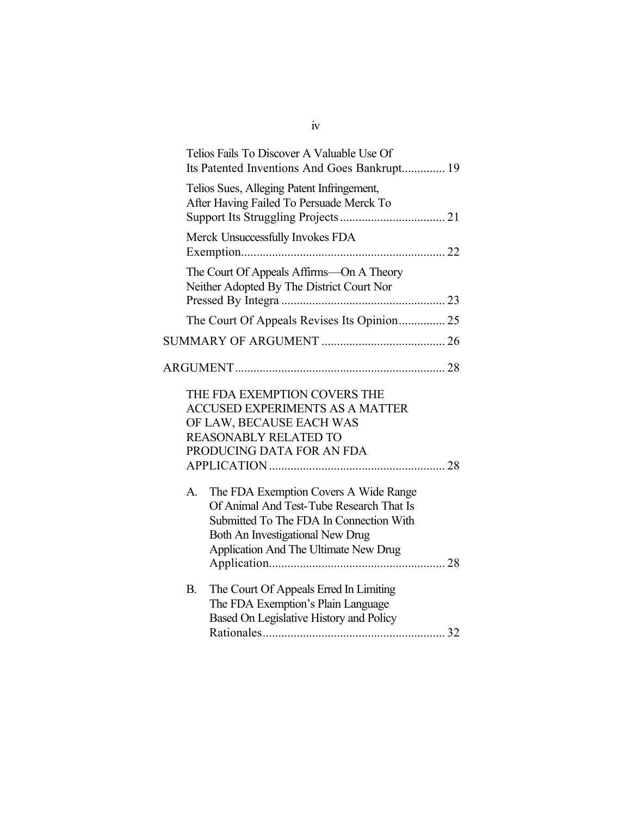|             | Telios Fails To Discover A Valuable Use Of<br>Its Patented Inventions And Goes Bankrupt 19                                                                                                                       |  |
|-------------|------------------------------------------------------------------------------------------------------------------------------------------------------------------------------------------------------------------|--|
|             | Telios Sues, Alleging Patent Infringement,<br>After Having Failed To Persuade Merck To                                                                                                                           |  |
|             | Merck Unsuccessfully Invokes FDA                                                                                                                                                                                 |  |
|             | The Court Of Appeals Affirms—On A Theory<br>Neither Adopted By The District Court Nor                                                                                                                            |  |
|             | The Court Of Appeals Revises Its Opinion 25                                                                                                                                                                      |  |
|             |                                                                                                                                                                                                                  |  |
|             |                                                                                                                                                                                                                  |  |
|             | THE FDA EXEMPTION COVERS THE<br><b>ACCUSED EXPERIMENTS AS A MATTER</b><br>OF LAW, BECAUSE EACH WAS<br><b>REASONABLY RELATED TO</b><br>PRODUCING DATA FOR AN FDA                                                  |  |
| $A_{\cdot}$ | The FDA Exemption Covers A Wide Range<br>Of Animal And Test-Tube Research That Is<br>Submitted To The FDA In Connection With<br>Both An Investigational New Drug<br><b>Application And The Ultimate New Drug</b> |  |
| <b>B.</b>   | The Court Of Appeals Erred In Limiting<br>The FDA Exemption's Plain Language<br>Based On Legislative History and Policy                                                                                          |  |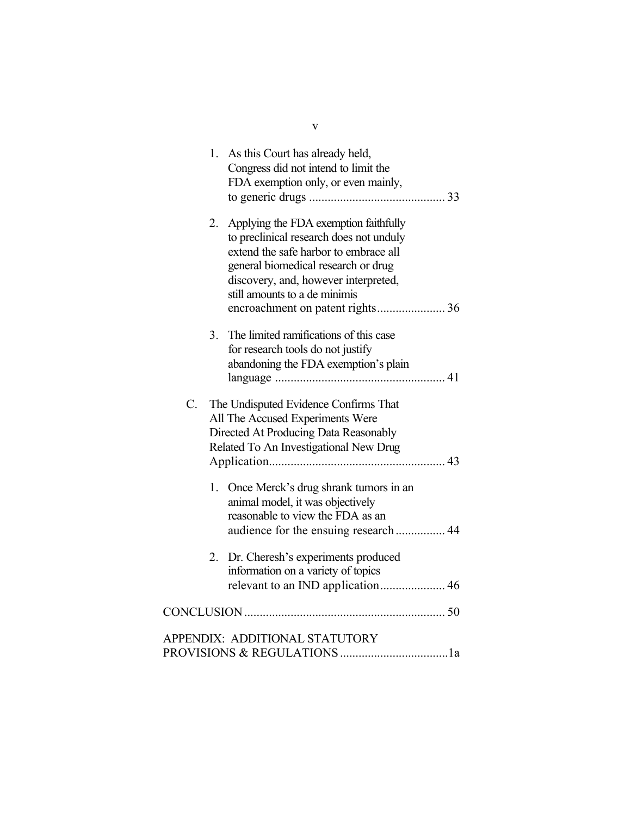|    |    | 1. As this Court has already held,<br>Congress did not intend to limit the<br>FDA exemption only, or even mainly,                                                                                                                         |  |
|----|----|-------------------------------------------------------------------------------------------------------------------------------------------------------------------------------------------------------------------------------------------|--|
|    | 2. | Applying the FDA exemption faithfully<br>to preclinical research does not unduly<br>extend the safe harbor to embrace all<br>general biomedical research or drug<br>discovery, and, however interpreted,<br>still amounts to a de minimis |  |
|    | 3. | The limited ramifications of this case<br>for research tools do not justify<br>abandoning the FDA exemption's plain                                                                                                                       |  |
| C. |    | The Undisputed Evidence Confirms That<br>All The Accused Experiments Were<br>Directed At Producing Data Reasonably<br>Related To An Investigational New Drug                                                                              |  |
|    | 1. | Once Merck's drug shrank tumors in an<br>animal model, it was objectively<br>reasonable to view the FDA as an<br>audience for the ensuing research  44                                                                                    |  |
|    | 2. | Dr. Cheresh's experiments produced<br>information on a variety of topics                                                                                                                                                                  |  |
|    |    |                                                                                                                                                                                                                                           |  |
|    |    | APPENDIX: ADDITIONAL STATUTORY                                                                                                                                                                                                            |  |

v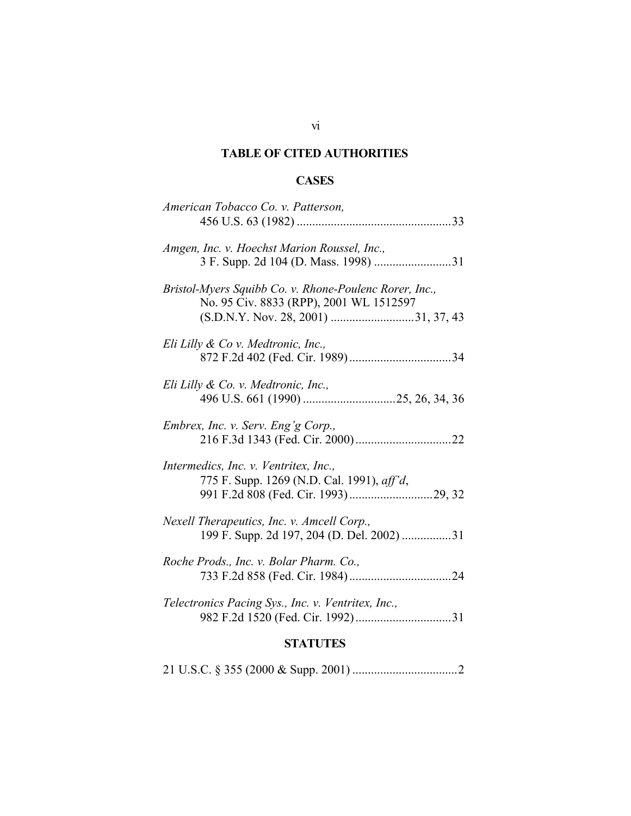# **TABLE OF CITED AUTHORITIES**

# **CASES**

| <b>STATUTES</b>                                                                                   |
|---------------------------------------------------------------------------------------------------|
| Telectronics Pacing Sys., Inc. v. Ventritex, Inc.,                                                |
| Roche Prods., Inc. v. Bolar Pharm. Co.,                                                           |
| Nexell Therapeutics, Inc. v. Amcell Corp.,<br>199 F. Supp. 2d 197, 204 (D. Del. 2002) 31          |
| Intermedics, Inc. v. Ventritex, Inc.,<br>775 F. Supp. 1269 (N.D. Cal. 1991), aff'd,               |
| Embrex, Inc. v. Serv. Eng'g Corp.,                                                                |
| Eli Lilly & Co. v. Medtronic, Inc.,                                                               |
| Eli Lilly & Co v. Medtronic, Inc.,                                                                |
| Bristol-Myers Squibb Co. v. Rhone-Poulenc Rorer, Inc.,<br>No. 95 Civ. 8833 (RPP), 2001 WL 1512597 |
| Amgen, Inc. v. Hoechst Marion Roussel, Inc.,<br>3 F. Supp. 2d 104 (D. Mass. 1998) 31              |
| American Tobacco Co. v. Patterson,                                                                |

21 U.S.C. § 355 (2000 & Supp. 2001) ..................................2

# vi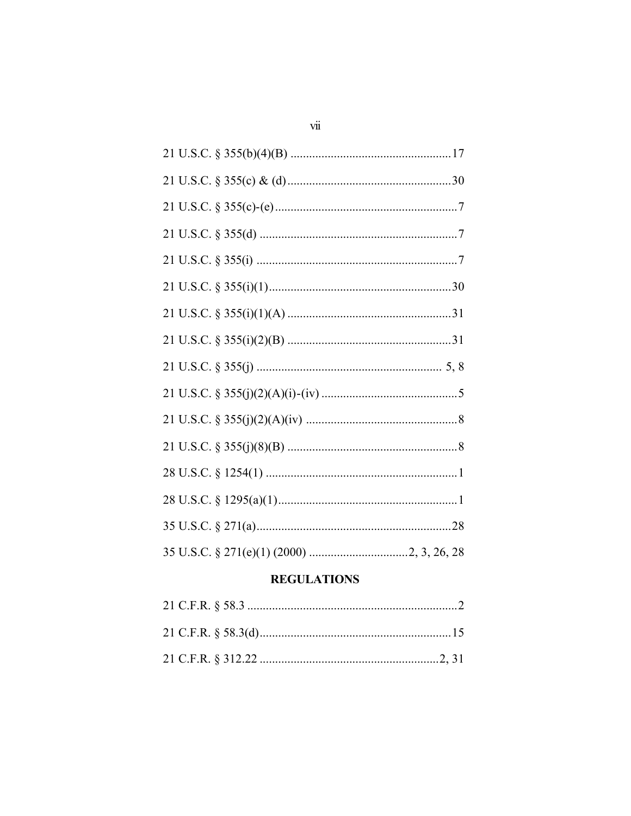# **REGULATIONS**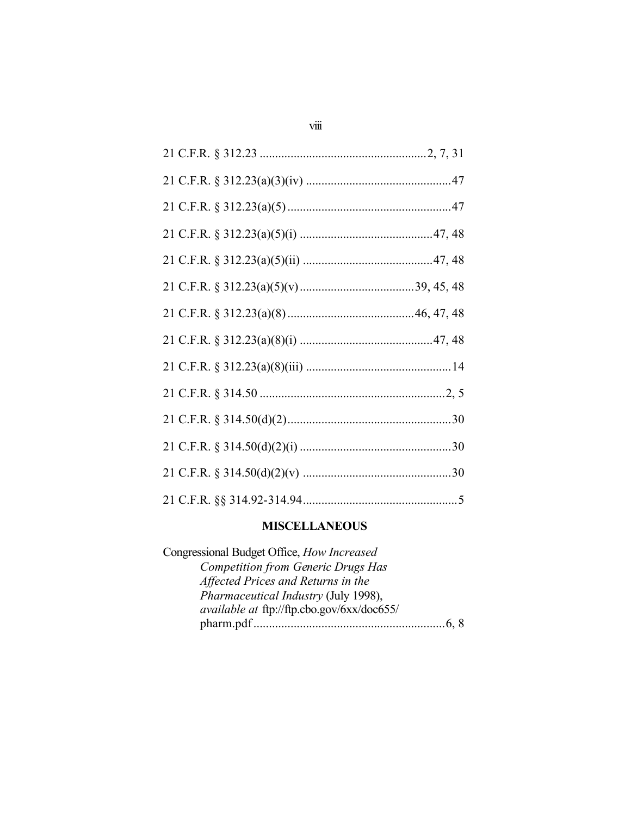### **MISCELLANEOUS**

Congressional Budget Office, *How Increased Competition from Generic Drugs Has Affected Prices and Returns in the Pharmaceutical Industry* (July 1998), *available at* ftp://ftp.cbo.gov/6xx/doc655/ pharm.pdf..............................................................6, 8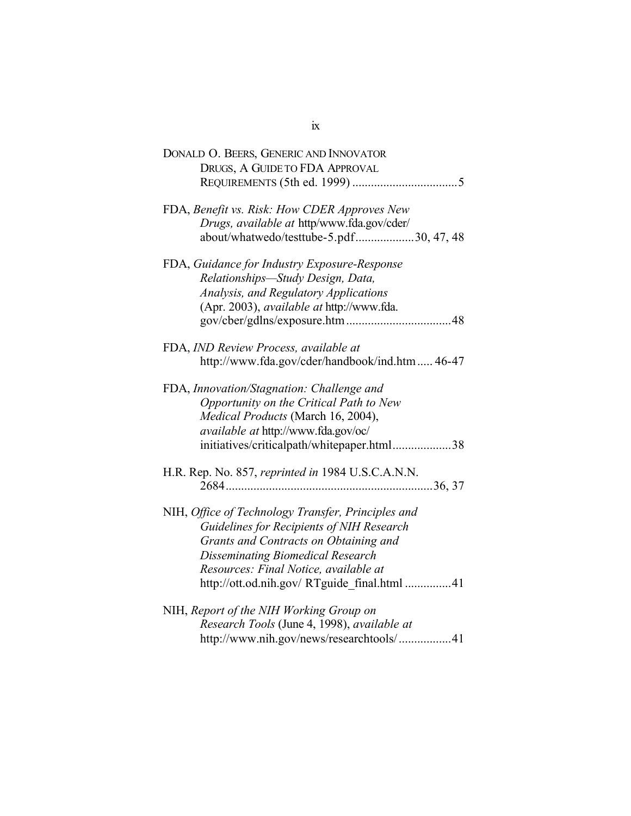| DONALD O. BEERS, GENERIC AND INNOVATOR             |
|----------------------------------------------------|
| DRUGS, A GUIDE TO FDA APPROVAL                     |
|                                                    |
|                                                    |
| FDA, Benefit vs. Risk: How CDER Approves New       |
| Drugs, available at http/www.fda.gov/cder/         |
| about/whatwedo/testtube-5.pdf30, 47, 48            |
| FDA, Guidance for Industry Exposure-Response       |
| Relationships-Study Design, Data,                  |
|                                                    |
| <b>Analysis, and Regulatory Applications</b>       |
| (Apr. 2003), available at http://www.fda.          |
|                                                    |
| FDA, IND Review Process, available at              |
| http://www.fda.gov/cder/handbook/ind.htm 46-47     |
|                                                    |
| FDA, Innovation/Stagnation: Challenge and          |
| Opportunity on the Critical Path to New            |
| Medical Products (March 16, 2004),                 |
| available at http://www.fda.gov/oc/                |
| initiatives/criticalpath/whitepaper.html38         |
|                                                    |
| H.R. Rep. No. 857, reprinted in 1984 U.S.C.A.N.N.  |
|                                                    |
|                                                    |
| NIH, Office of Technology Transfer, Principles and |
| Guidelines for Recipients of NIH Research          |
| Grants and Contracts on Obtaining and              |
| <b>Disseminating Biomedical Research</b>           |
| Resources: Final Notice, available at              |
| http://ott.od.nih.gov/ RTguide final.html 41       |
|                                                    |
| NIH, Report of the NIH Working Group on            |
| Research Tools (June 4, 1998), available at        |
| http://www.nih.gov/news/researchtools/41           |

ix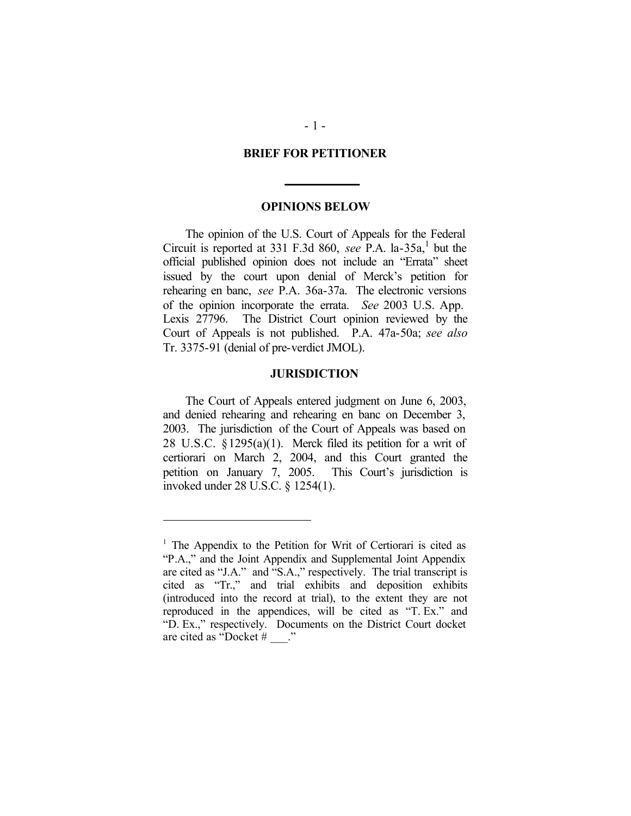#### **BRIEF FOR PETITIONER**

#### **OPINIONS BELOW**

The opinion of the U.S. Court of Appeals for the Federal Circuit is reported at 331 F.3d 860, see P.A. la-35a,<sup>1</sup> but the official published opinion does not include an "Errata" sheet issued by the court upon denial of Merck's petition for rehearing en banc, *see* P.A. 36a-37a. The electronic versions of the opinion incorporate the errata. *See* 2003 U.S. App. Lexis 27796. The District Court opinion reviewed by the Court of Appeals is not published. P.A. 47a-50a; *see also* Tr. 3375-91 (denial of pre-verdict JMOL).

### **JURISDICTION**

The Court of Appeals entered judgment on June 6, 2003, and denied rehearing and rehearing en banc on December 3, 2003. The jurisdiction of the Court of Appeals was based on 28 U.S.C.  $\S 1295(a)(1)$ . Merck filed its petition for a writ of certiorari on March 2, 2004, and this Court granted the petition on January 7, 2005. This Court's jurisdiction is invoked under 28 U.S.C. § 1254(1).

 $\overline{a}$ 

<sup>&</sup>lt;sup>1</sup> The Appendix to the Petition for Writ of Certiorari is cited as "P.A.," and the Joint Appendix and Supplemental Joint Appendix are cited as "J.A." and "S.A.," respectively. The trial transcript is cited as "Tr.," and trial exhibits and deposition exhibits (introduced into the record at trial), to the extent they are not reproduced in the appendices, will be cited as "T. Ex." and "D. Ex.," respectively. Documents on the District Court docket are cited as "Docket # \_\_\_."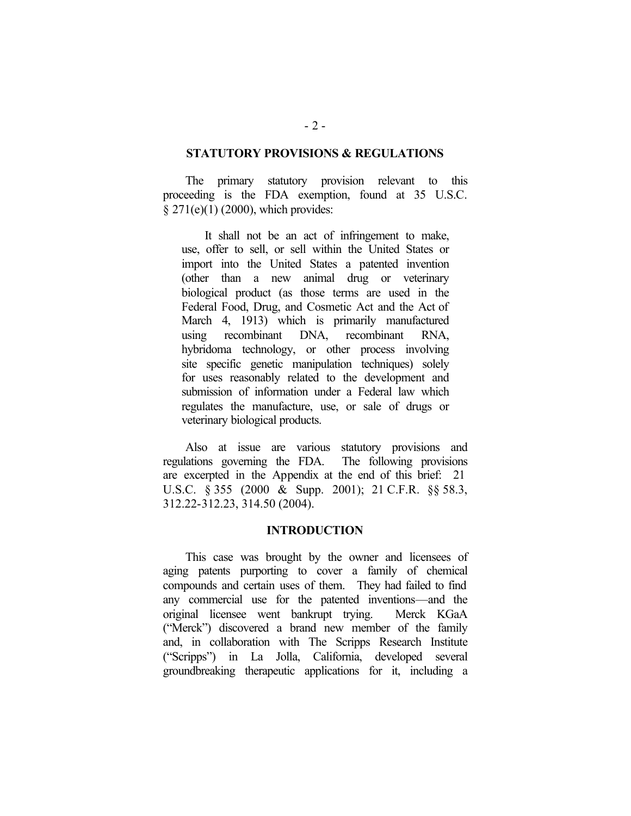### **STATUTORY PROVISIONS & REGULATIONS**

The primary statutory provision relevant to this proceeding is the FDA exemption, found at 35 U.S.C. § 271(e)(1) (2000), which provides:

It shall not be an act of infringement to make, use, offer to sell, or sell within the United States or import into the United States a patented invention (other than a new animal drug or veterinary biological product (as those terms are used in the Federal Food, Drug, and Cosmetic Act and the Act of March 4, 1913) which is primarily manufactured using recombinant DNA, recombinant RNA, hybridoma technology, or other process involving site specific genetic manipulation techniques) solely for uses reasonably related to the development and submission of information under a Federal law which regulates the manufacture, use, or sale of drugs or veterinary biological products.

Also at issue are various statutory provisions and regulations governing the FDA. The following provisions are excerpted in the Appendix at the end of this brief: 21 U.S.C. § 355 (2000 & Supp. 2001); 21 C.F.R. §§ 58.3, 312.22-312.23, 314.50 (2004).

#### **INTRODUCTION**

This case was brought by the owner and licensees of aging patents purporting to cover a family of chemical compounds and certain uses of them. They had failed to find any commercial use for the patented inventions—and the original licensee went bankrupt trying. Merck KGaA ("Merck") discovered a brand new member of the family and, in collaboration with The Scripps Research Institute ("Scripps") in La Jolla, California, developed several groundbreaking therapeutic applications for it, including a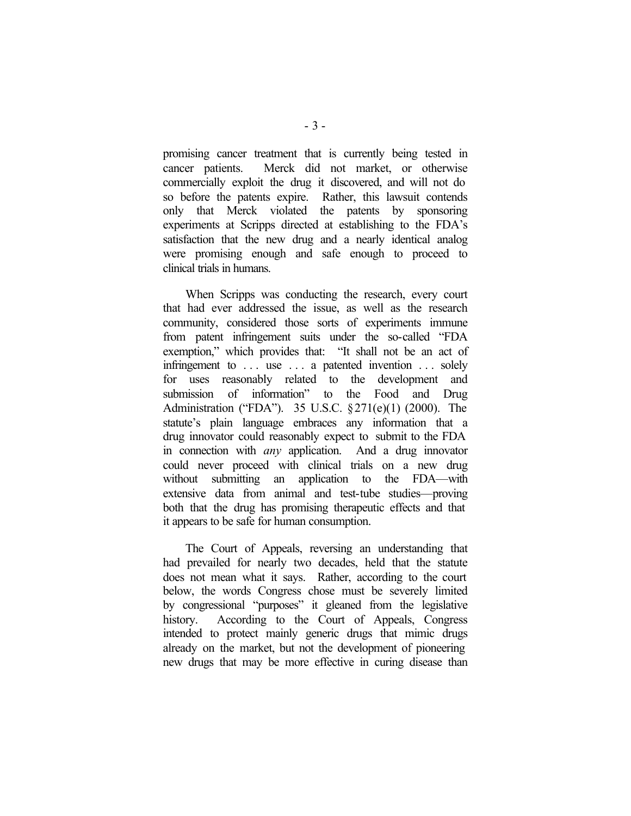promising cancer treatment that is currently being tested in cancer patients. Merck did not market, or otherwise commercially exploit the drug it discovered, and will not do so before the patents expire. Rather, this lawsuit contends only that Merck violated the patents by sponsoring experiments at Scripps directed at establishing to the FDA's satisfaction that the new drug and a nearly identical analog were promising enough and safe enough to proceed to clinical trials in humans.

When Scripps was conducting the research, every court that had ever addressed the issue, as well as the research community, considered those sorts of experiments immune from patent infringement suits under the so-called "FDA exemption," which provides that: "It shall not be an act of infringement to ... use ... a patented invention ... solely for uses reasonably related to the development and submission of information" to the Food and Drug Administration ("FDA"). 35 U.S.C. §271(e)(1) (2000). The statute's plain language embraces any information that a drug innovator could reasonably expect to submit to the FDA in connection with *any* application. And a drug innovator could never proceed with clinical trials on a new drug without submitting an application to the FDA—with extensive data from animal and test-tube studies—proving both that the drug has promising therapeutic effects and that it appears to be safe for human consumption.

The Court of Appeals, reversing an understanding that had prevailed for nearly two decades, held that the statute does not mean what it says. Rather, according to the court below, the words Congress chose must be severely limited by congressional "purposes" it gleaned from the legislative history. According to the Court of Appeals, Congress intended to protect mainly generic drugs that mimic drugs already on the market, but not the development of pioneering new drugs that may be more effective in curing disease than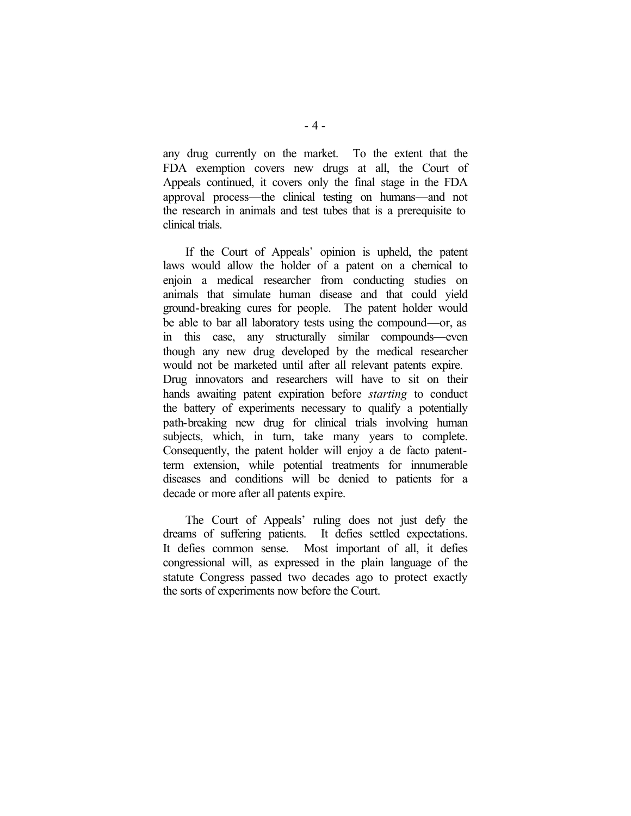any drug currently on the market. To the extent that the FDA exemption covers new drugs at all, the Court of Appeals continued, it covers only the final stage in the FDA approval process—the clinical testing on humans—and not the research in animals and test tubes that is a prerequisite to clinical trials.

If the Court of Appeals' opinion is upheld, the patent laws would allow the holder of a patent on a chemical to enjoin a medical researcher from conducting studies on animals that simulate human disease and that could yield ground-breaking cures for people. The patent holder would be able to bar all laboratory tests using the compound—or, as in this case, any structurally similar compounds—even though any new drug developed by the medical researcher would not be marketed until after all relevant patents expire. Drug innovators and researchers will have to sit on their hands awaiting patent expiration before *starting* to conduct the battery of experiments necessary to qualify a potentially path-breaking new drug for clinical trials involving human subjects, which, in turn, take many years to complete. Consequently, the patent holder will enjoy a de facto patentterm extension, while potential treatments for innumerable diseases and conditions will be denied to patients for a decade or more after all patents expire.

The Court of Appeals' ruling does not just defy the dreams of suffering patients. It defies settled expectations. It defies common sense. Most important of all, it defies congressional will, as expressed in the plain language of the statute Congress passed two decades ago to protect exactly the sorts of experiments now before the Court.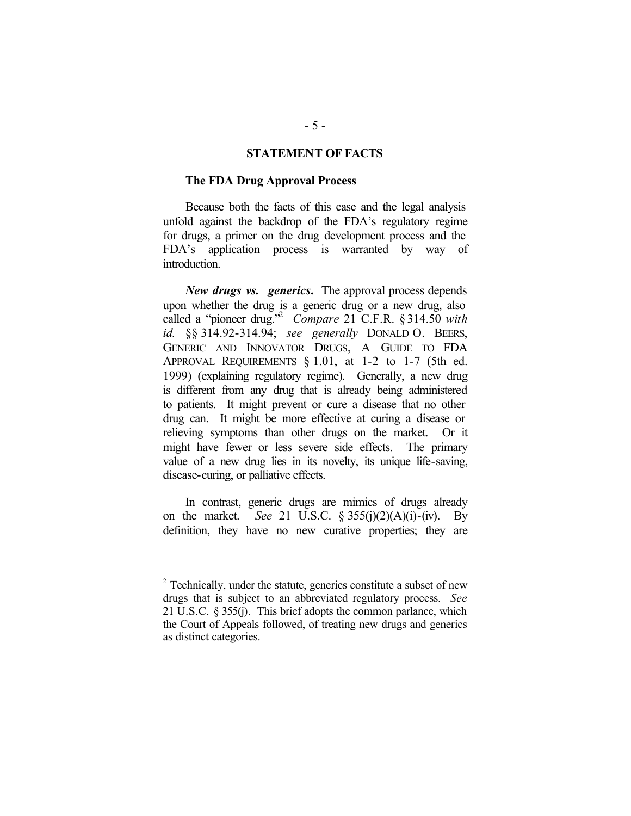### **STATEMENT OF FACTS**

#### **The FDA Drug Approval Process**

Because both the facts of this case and the legal analysis unfold against the backdrop of the FDA's regulatory regime for drugs, a primer on the drug development process and the FDA's application process is warranted by way of introduction.

*New drugs vs. generics***.** The approval process depends upon whether the drug is a generic drug or a new drug, also called a "pioneer drug."<sup>2</sup> *Compare* 21 C.F.R. § 314.50 *with id.* §§ 314.92-314.94; *see generally* DONALD O. BEERS, GENERIC AND INNOVATOR DRUGS, A GUIDE TO FDA APPROVAL REQUIREMENTS § 1.01, at 1-2 to 1-7 (5th ed. 1999) (explaining regulatory regime). Generally, a new drug is different from any drug that is already being administered to patients. It might prevent or cure a disease that no other drug can. It might be more effective at curing a disease or relieving symptoms than other drugs on the market. Or it might have fewer or less severe side effects. The primary value of a new drug lies in its novelty, its unique life-saving, disease-curing, or palliative effects.

In contrast, generic drugs are mimics of drugs already on the market. *See* 21 U.S.C. § 355(j)(2)(A)(i)-(iv). By definition, they have no new curative properties; they are

 $\overline{a}$ 

 $2^2$  Technically, under the statute, generics constitute a subset of new drugs that is subject to an abbreviated regulatory process. *See* 21 U.S.C. § 355(j). This brief adopts the common parlance, which the Court of Appeals followed, of treating new drugs and generics as distinct categories.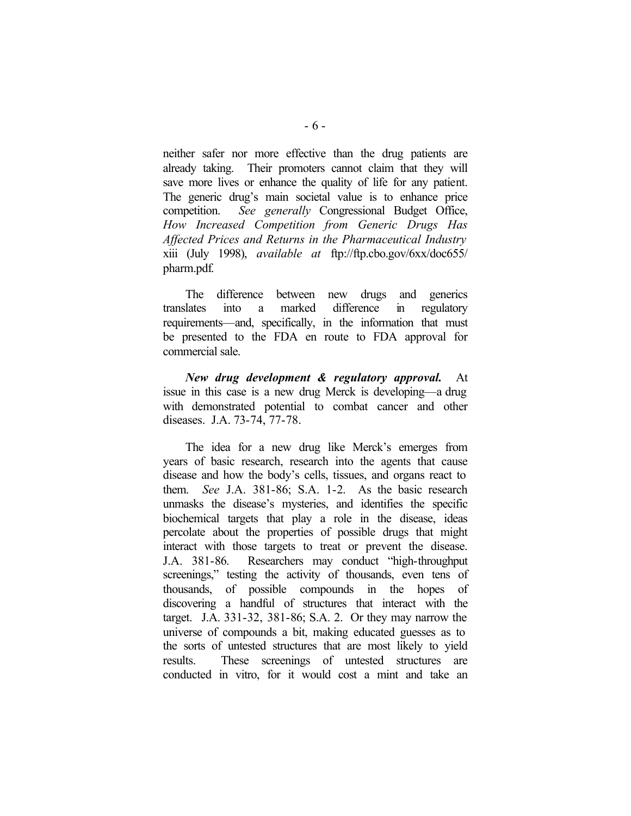neither safer nor more effective than the drug patients are already taking. Their promoters cannot claim that they will save more lives or enhance the quality of life for any patient. The generic drug's main societal value is to enhance price competition. *See generally* Congressional Budget Office, *How Increased Competition from Generic Drugs Has Affected Prices and Returns in the Pharmaceutical Industry*  xiii (July 1998), *available at* ftp://ftp.cbo.gov/6xx/doc655/ pharm.pdf.

The difference between new drugs and generics translates into a marked difference in regulatory requirements—and, specifically, in the information that must be presented to the FDA en route to FDA approval for commercial sale.

*New drug development & regulatory approval.* At issue in this case is a new drug Merck is developing—a drug with demonstrated potential to combat cancer and other diseases. J.A. 73-74, 77-78.

The idea for a new drug like Merck's emerges from years of basic research, research into the agents that cause disease and how the body's cells, tissues, and organs react to them. *See* J.A. 381-86; S.A. 1-2. As the basic research unmasks the disease's mysteries, and identifies the specific biochemical targets that play a role in the disease, ideas percolate about the properties of possible drugs that might interact with those targets to treat or prevent the disease. J.A. 381-86. Researchers may conduct "high-throughput screenings," testing the activity of thousands, even tens of thousands, of possible compounds in the hopes of discovering a handful of structures that interact with the target. J.A. 331-32, 381-86; S.A. 2. Or they may narrow the universe of compounds a bit, making educated guesses as to the sorts of untested structures that are most likely to yield results. These screenings of untested structures are conducted in vitro, for it would cost a mint and take an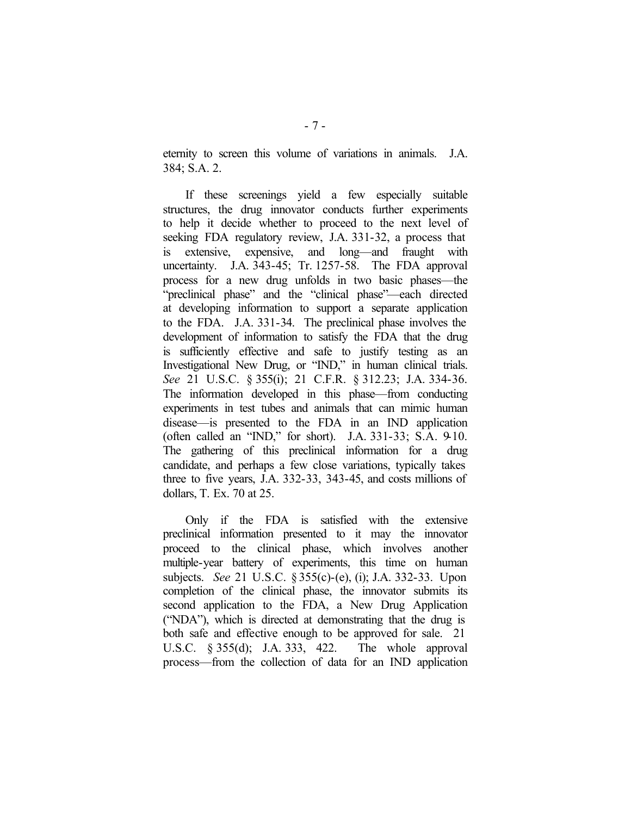eternity to screen this volume of variations in animals. J.A. 384; S.A. 2.

If these screenings yield a few especially suitable structures, the drug innovator conducts further experiments to help it decide whether to proceed to the next level of seeking FDA regulatory review, J.A. 331-32, a process that is extensive, expensive, and long—and fraught with uncertainty. J.A. 343-45; Tr. 1257-58. The FDA approval process for a new drug unfolds in two basic phases—the "preclinical phase" and the "clinical phase"—each directed at developing information to support a separate application to the FDA. J.A. 331-34. The preclinical phase involves the development of information to satisfy the FDA that the drug is sufficiently effective and safe to justify testing as an Investigational New Drug, or "IND," in human clinical trials. *See* 21 U.S.C. § 355(i); 21 C.F.R. § 312.23; J.A. 334-36. The information developed in this phase—from conducting experiments in test tubes and animals that can mimic human disease—is presented to the FDA in an IND application (often called an "IND," for short). J.A. 331-33; S.A. 9-10. The gathering of this preclinical information for a drug candidate, and perhaps a few close variations, typically takes three to five years, J.A. 332-33, 343-45, and costs millions of dollars, T. Ex. 70 at 25.

Only if the FDA is satisfied with the extensive preclinical information presented to it may the innovator proceed to the clinical phase, which involves another multiple-year battery of experiments, this time on human subjects. *See* 21 U.S.C. § 355(c)-(e), (i); J.A. 332-33. Upon completion of the clinical phase, the innovator submits its second application to the FDA, a New Drug Application ("NDA"), which is directed at demonstrating that the drug is both safe and effective enough to be approved for sale. 21 U.S.C. § 355(d); J.A. 333, 422. The whole approval process—from the collection of data for an IND application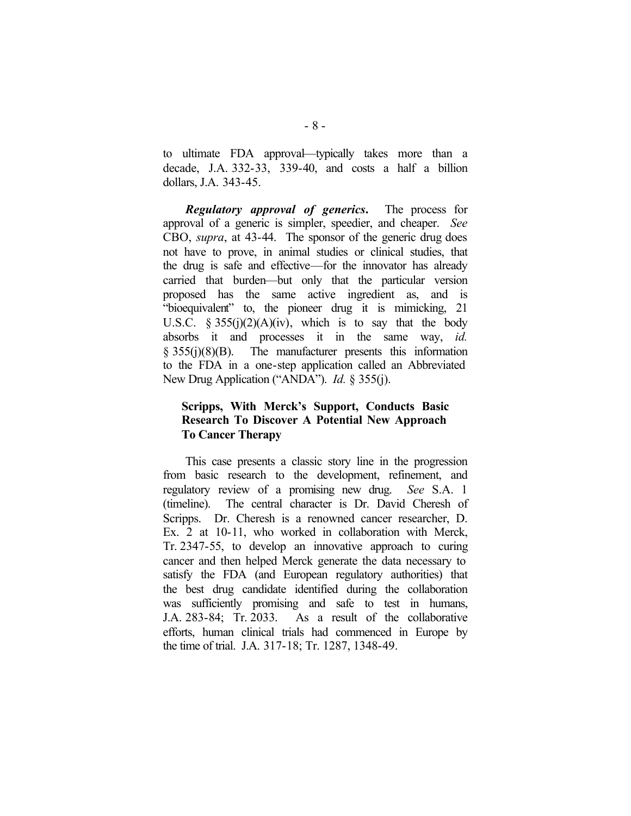to ultimate FDA approval—typically takes more than a decade, J.A. 332-33, 339-40, and costs a half a billion dollars, J.A. 343-45.

*Regulatory approval of generics***.** The process for approval of a generic is simpler, speedier, and cheaper. *See* CBO, *supra*, at 43-44. The sponsor of the generic drug does not have to prove, in animal studies or clinical studies, that the drug is safe and effective—for the innovator has already carried that burden—but only that the particular version proposed has the same active ingredient as, and is "bioequivalent" to, the pioneer drug it is mimicking, 21 U.S.C.  $\S 355(i)(2)(A)(iv)$ , which is to say that the body absorbs it and processes it in the same way, *id.*  § 355(j)(8)(B). The manufacturer presents this information to the FDA in a one-step application called an Abbreviated New Drug Application ("ANDA"). *Id.* § 355(j).

# **Scripps, With Merck's Support, Conducts Basic Research To Discover A Potential New Approach To Cancer Therapy**

This case presents a classic story line in the progression from basic research to the development, refinement, and regulatory review of a promising new drug. *See* S.A. 1 (timeline). The central character is Dr. David Cheresh of Scripps. Dr. Cheresh is a renowned cancer researcher, D. Ex. 2 at 10-11, who worked in collaboration with Merck, Tr. 2347-55, to develop an innovative approach to curing cancer and then helped Merck generate the data necessary to satisfy the FDA (and European regulatory authorities) that the best drug candidate identified during the collaboration was sufficiently promising and safe to test in humans, J.A. 283-84; Tr. 2033. As a result of the collaborative efforts, human clinical trials had commenced in Europe by the time of trial. J.A. 317-18; Tr. 1287, 1348-49.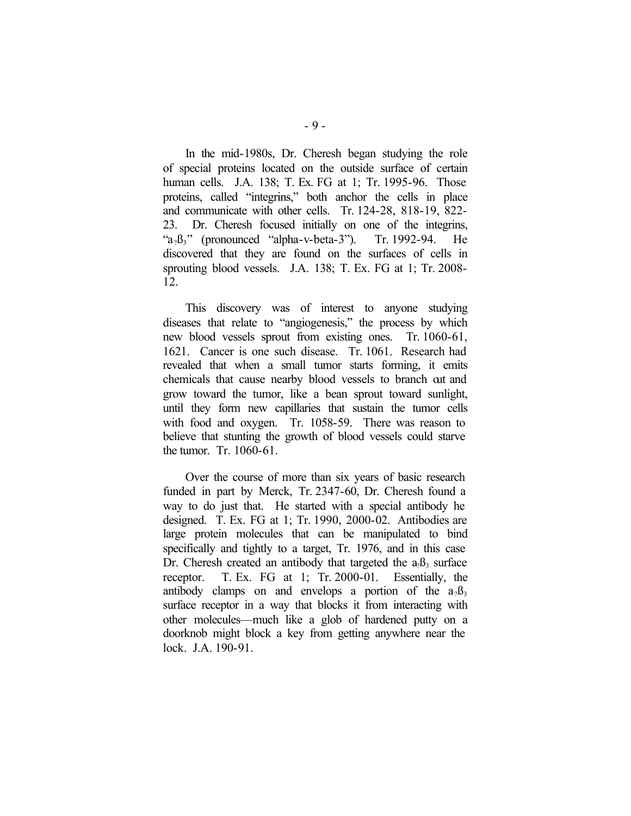In the mid-1980s, Dr. Cheresh began studying the role of special proteins located on the outside surface of certain human cells. J.A. 138; T. Ex. FG at 1; Tr. 1995-96. Those proteins, called "integrins," both anchor the cells in place and communicate with other cells. Tr. 124-28, 818-19, 822- 23. Dr. Cheresh focused initially on one of the integrins, " $a_2B_3$ " (pronounced "alpha-v-beta-3"). Tr. 1992-94. He discovered that they are found on the surfaces of cells in sprouting blood vessels. J.A. 138; T. Ex. FG at 1; Tr. 2008- 12.

This discovery was of interest to anyone studying diseases that relate to "angiogenesis," the process by which new blood vessels sprout from existing ones. Tr. 1060-61, 1621. Cancer is one such disease. Tr. 1061. Research had revealed that when a small tumor starts forming, it emits chemicals that cause nearby blood vessels to branch out and grow toward the tumor, like a bean sprout toward sunlight, until they form new capillaries that sustain the tumor cells with food and oxygen. Tr. 1058-59. There was reason to believe that stunting the growth of blood vessels could starve the tumor. Tr. 1060-61.

Over the course of more than six years of basic research funded in part by Merck, Tr. 2347-60, Dr. Cheresh found a way to do just that. He started with a special antibody he designed. T. Ex. FG at 1; Tr. 1990, 2000-02. Antibodies are large protein molecules that can be manipulated to bind specifically and tightly to a target, Tr. 1976, and in this case Dr. Cheresh created an antibody that targeted the  $a_0B_3$  surface receptor. T. Ex. FG at 1; Tr. 2000-01. Essentially, the antibody clamps on and envelops a portion of the  $a_2B_3$ surface receptor in a way that blocks it from interacting with other molecules—much like a glob of hardened putty on a doorknob might block a key from getting anywhere near the lock. J.A. 190-91.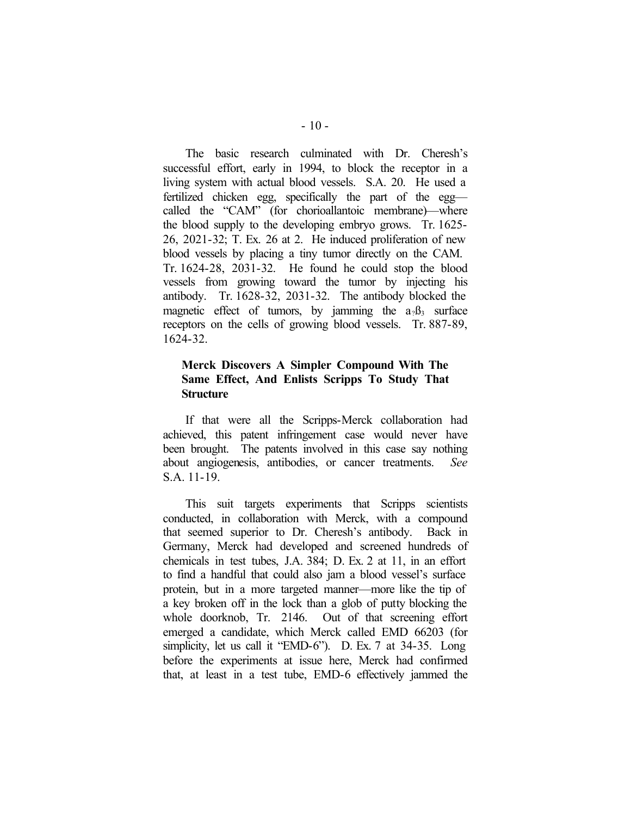The basic research culminated with Dr. Cheresh's successful effort, early in 1994, to block the receptor in a living system with actual blood vessels. S.A. 20. He used a fertilized chicken egg, specifically the part of the egg called the "CAM" (for chorioallantoic membrane)—where the blood supply to the developing embryo grows. Tr. 1625- 26, 2021-32; T. Ex. 26 at 2. He induced proliferation of new blood vessels by placing a tiny tumor directly on the CAM. Tr. 1624-28, 2031-32. He found he could stop the blood vessels from growing toward the tumor by injecting his antibody. Tr. 1628-32, 2031-32. The antibody blocked the magnetic effect of tumors, by jamming the  $a_2B_3$  surface receptors on the cells of growing blood vessels. Tr. 887-89, 1624-32.

# **Merck Discovers A Simpler Compound With The Same Effect, And Enlists Scripps To Study That Structure**

If that were all the Scripps-Merck collaboration had achieved, this patent infringement case would never have been brought. The patents involved in this case say nothing about angiogenesis, antibodies, or cancer treatments. *See* S.A. 11-19.

This suit targets experiments that Scripps scientists conducted, in collaboration with Merck, with a compound that seemed superior to Dr. Cheresh's antibody. Back in Germany, Merck had developed and screened hundreds of chemicals in test tubes, J.A. 384; D. Ex. 2 at 11, in an effort to find a handful that could also jam a blood vessel's surface protein, but in a more targeted manner—more like the tip of a key broken off in the lock than a glob of putty blocking the whole doorknob, Tr. 2146. Out of that screening effort emerged a candidate, which Merck called EMD 66203 (for simplicity, let us call it "EMD-6"). D. Ex. 7 at 34-35. Long before the experiments at issue here, Merck had confirmed that, at least in a test tube, EMD-6 effectively jammed the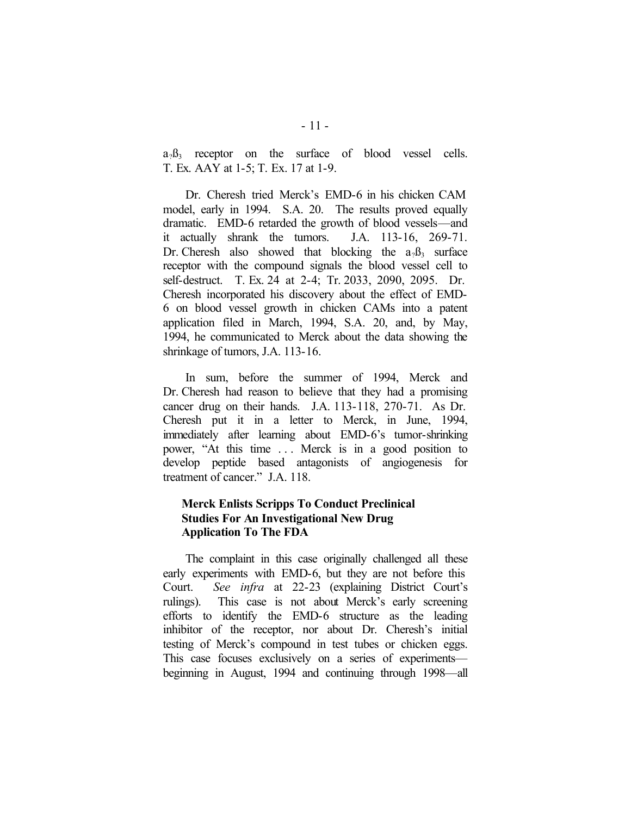$a_2B_3$  receptor on the surface of blood vessel cells. T. Ex. AAY at 1-5; T. Ex. 17 at 1-9.

Dr. Cheresh tried Merck's EMD-6 in his chicken CAM model, early in 1994. S.A. 20. The results proved equally dramatic. EMD-6 retarded the growth of blood vessels—and it actually shrank the tumors. J.A. 113-16, 269-71. Dr. Cheresh also showed that blocking the  $a_2B_3$  surface receptor with the compound signals the blood vessel cell to self-destruct. T. Ex. 24 at 2-4; Tr. 2033, 2090, 2095. Dr. Cheresh incorporated his discovery about the effect of EMD-6 on blood vessel growth in chicken CAMs into a patent application filed in March, 1994, S.A. 20, and, by May, 1994, he communicated to Merck about the data showing the shrinkage of tumors, J.A. 113-16.

In sum, before the summer of 1994, Merck and Dr. Cheresh had reason to believe that they had a promising cancer drug on their hands. J.A. 113-118, 270-71. As Dr. Cheresh put it in a letter to Merck, in June, 1994, immediately after learning about EMD-6's tumor-shrinking power, "At this time . . . Merck is in a good position to develop peptide based antagonists of angiogenesis for treatment of cancer." J.A. 118.

# **Merck Enlists Scripps To Conduct Preclinical Studies For An Investigational New Drug Application To The FDA**

The complaint in this case originally challenged all these early experiments with EMD-6, but they are not before this Court. *See infra* at 22-23 (explaining District Court's rulings). This case is not about Merck's early screening efforts to identify the EMD-6 structure as the leading inhibitor of the receptor, nor about Dr. Cheresh's initial testing of Merck's compound in test tubes or chicken eggs. This case focuses exclusively on a series of experiments beginning in August, 1994 and continuing through 1998—all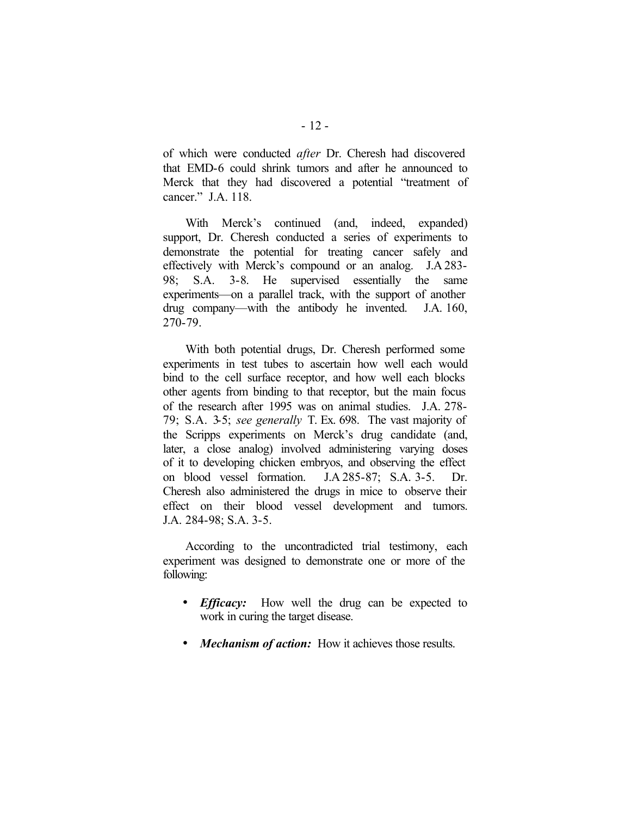of which were conducted *after* Dr. Cheresh had discovered that EMD-6 could shrink tumors and after he announced to Merck that they had discovered a potential "treatment of cancer." J.A. 118.

With Merck's continued (and, indeed, expanded) support, Dr. Cheresh conducted a series of experiments to demonstrate the potential for treating cancer safely and effectively with Merck's compound or an analog. J.A 283- 98; S.A. 3-8. He supervised essentially the same experiments—on a parallel track, with the support of another drug company—with the antibody he invented. J.A. 160, 270-79.

With both potential drugs, Dr. Cheresh performed some experiments in test tubes to ascertain how well each would bind to the cell surface receptor, and how well each blocks other agents from binding to that receptor, but the main focus of the research after 1995 was on animal studies. J.A. 278- 79; S.A. 3-5; *see generally* T. Ex. 698. The vast majority of the Scripps experiments on Merck's drug candidate (and, later, a close analog) involved administering varying doses of it to developing chicken embryos, and observing the effect on blood vessel formation. J.A 285-87; S.A. 3-5. Dr. Cheresh also administered the drugs in mice to observe their effect on their blood vessel development and tumors. J.A. 284-98; S.A. 3-5.

According to the uncontradicted trial testimony, each experiment was designed to demonstrate one or more of the following:

- *Efficacy:* How well the drug can be expected to work in curing the target disease.
- *Mechanism of action:* How it achieves those results.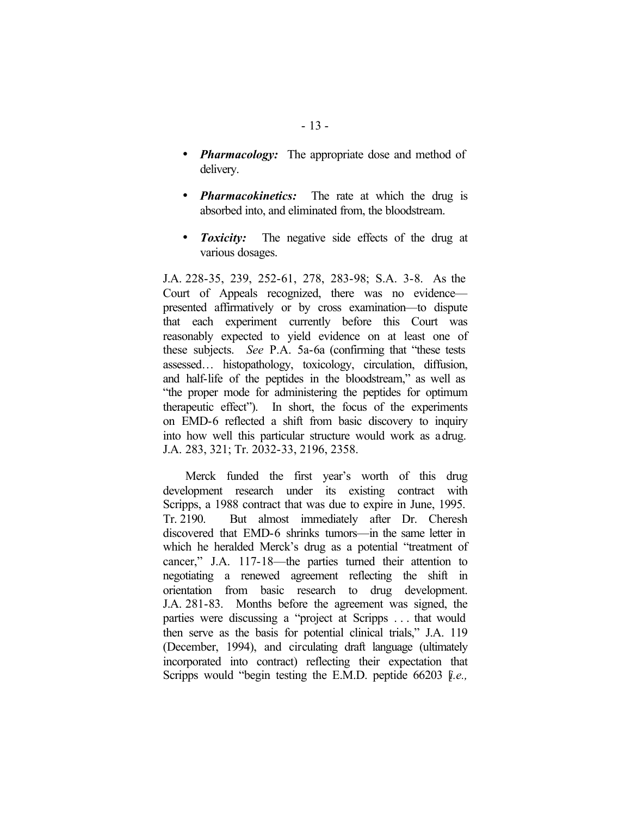- *Pharmacology:* The appropriate dose and method of delivery.
- *Pharmacokinetics:* The rate at which the drug is absorbed into, and eliminated from, the bloodstream.
- *Toxicity:* The negative side effects of the drug at various dosages.

J.A. 228-35, 239, 252-61, 278, 283-98; S.A. 3-8. As the Court of Appeals recognized, there was no evidence presented affirmatively or by cross examination—to dispute that each experiment currently before this Court was reasonably expected to yield evidence on at least one of these subjects. *See* P.A. 5a-6a (confirming that "these tests assessed… histopathology, toxicology, circulation, diffusion, and half-life of the peptides in the bloodstream," as well as "the proper mode for administering the peptides for optimum therapeutic effect"). In short, the focus of the experiments on EMD-6 reflected a shift from basic discovery to inquiry into how well this particular structure would work as a drug. J.A. 283, 321; Tr. 2032-33, 2196, 2358.

Merck funded the first year's worth of this drug development research under its existing contract with Scripps, a 1988 contract that was due to expire in June, 1995. Tr. 2190. But almost immediately after Dr. Cheresh discovered that EMD-6 shrinks tumors—in the same letter in which he heralded Merck's drug as a potential "treatment of cancer," J.A. 117-18—the parties turned their attention to negotiating a renewed agreement reflecting the shift in orientation from basic research to drug development. J.A. 281-83. Months before the agreement was signed, the parties were discussing a "project at Scripps . . . that would then serve as the basis for potential clinical trials," J.A. 119 (December, 1994), and circulating draft language (ultimately incorporated into contract) reflecting their expectation that Scripps would "begin testing the E.M.D. peptide 66203 [*i.e.*,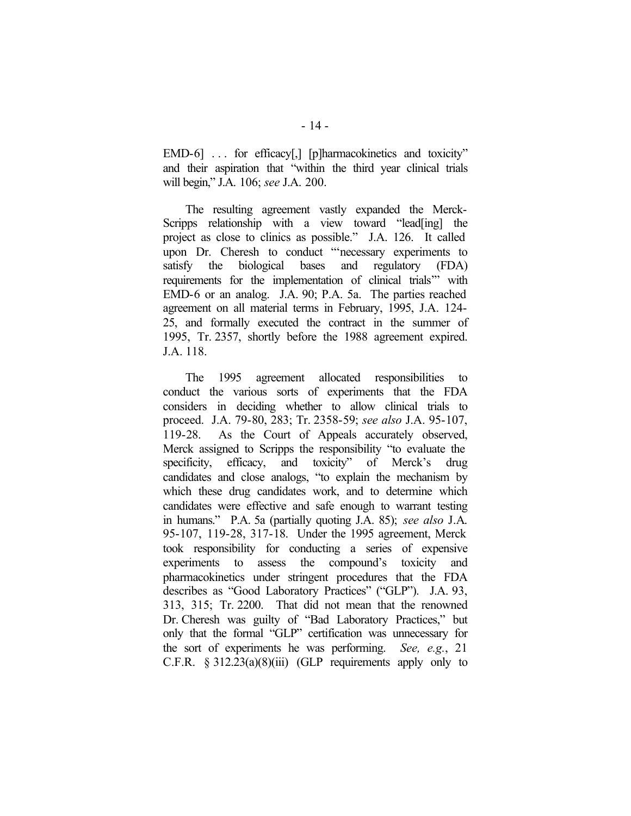EMD-6] ... for efficacy[,] [p]harmacokinetics and toxicity" and their aspiration that "within the third year clinical trials will begin," J.A. 106; *see* J.A. 200.

The resulting agreement vastly expanded the Merck-Scripps relationship with a view toward "lead[ing] the project as close to clinics as possible." J.A. 126. It called upon Dr. Cheresh to conduct "'necessary experiments to satisfy the biological bases and regulatory (FDA) requirements for the implementation of clinical trials'" with EMD-6 or an analog. J.A. 90; P.A. 5a. The parties reached agreement on all material terms in February, 1995, J.A. 124- 25, and formally executed the contract in the summer of 1995, Tr. 2357, shortly before the 1988 agreement expired. J.A. 118.

The 1995 agreement allocated responsibilities to conduct the various sorts of experiments that the FDA considers in deciding whether to allow clinical trials to proceed. J.A. 79-80, 283; Tr. 2358-59; *see also* J.A. 95-107, 119-28. As the Court of Appeals accurately observed, Merck assigned to Scripps the responsibility "to evaluate the specificity, efficacy, and toxicity" of Merck's drug candidates and close analogs, "to explain the mechanism by which these drug candidates work, and to determine which candidates were effective and safe enough to warrant testing in humans." P.A. 5a (partially quoting J.A. 85); *see also* J.A. 95-107, 119-28, 317-18. Under the 1995 agreement, Merck took responsibility for conducting a series of expensive experiments to assess the compound's toxicity and pharmacokinetics under stringent procedures that the FDA describes as "Good Laboratory Practices" ("GLP"). J.A. 93, 313, 315; Tr. 2200. That did not mean that the renowned Dr. Cheresh was guilty of "Bad Laboratory Practices," but only that the formal "GLP" certification was unnecessary for the sort of experiments he was performing. *See, e.g.*, 21 C.F.R.  $\S 312.23(a)(8)(iii)$  (GLP requirements apply only to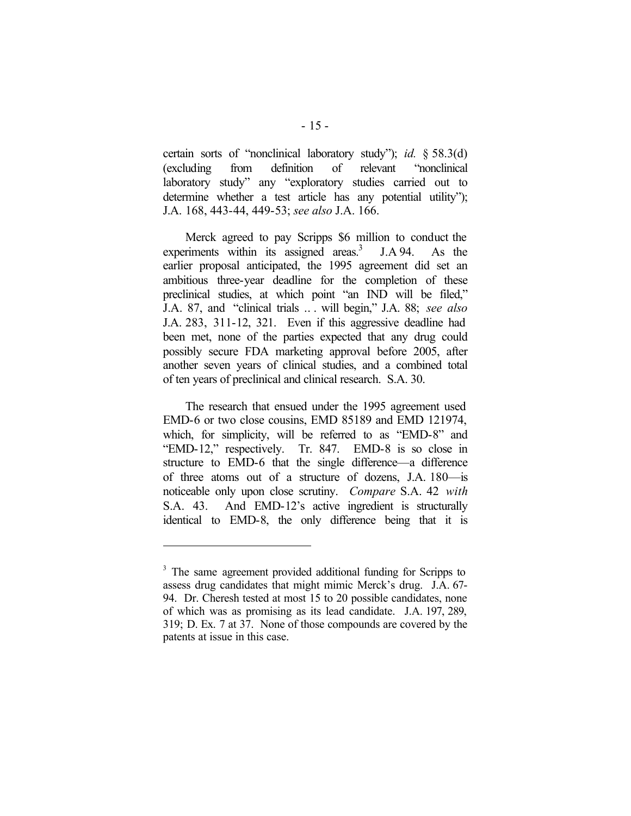certain sorts of "nonclinical laboratory study"); *id.* § 58.3(d) (excluding from definition of relevant "nonclinical laboratory study" any "exploratory studies carried out to determine whether a test article has any potential utility"); J.A. 168, 443-44, 449-53; *see also* J.A. 166.

Merck agreed to pay Scripps \$6 million to conduct the experiments within its assigned areas. $3$  J.A 94. As the earlier proposal anticipated, the 1995 agreement did set an ambitious three-year deadline for the completion of these preclinical studies, at which point "an IND will be filed," J.A. 87, and "clinical trials .. . will begin," J.A. 88; *see also* J.A. 283, 311-12, 321. Even if this aggressive deadline had been met, none of the parties expected that any drug could possibly secure FDA marketing approval before 2005, after another seven years of clinical studies, and a combined total of ten years of preclinical and clinical research. S.A. 30.

The research that ensued under the 1995 agreement used EMD-6 or two close cousins, EMD 85189 and EMD 121974, which, for simplicity, will be referred to as "EMD-8" and "EMD-12," respectively. Tr. 847. EMD-8 is so close in structure to EMD-6 that the single difference—a difference of three atoms out of a structure of dozens, J.A. 180—is noticeable only upon close scrutiny. *Compare* S.A. 42 *with* S.A. 43. And EMD-12's active ingredient is structurally identical to EMD-8, the only difference being that it is

 $\overline{a}$ 

<sup>&</sup>lt;sup>3</sup> The same agreement provided additional funding for Scripps to assess drug candidates that might mimic Merck's drug. J.A. 67- 94. Dr. Cheresh tested at most 15 to 20 possible candidates, none of which was as promising as its lead candidate. J.A. 197, 289, 319; D. Ex. 7 at 37. None of those compounds are covered by the patents at issue in this case.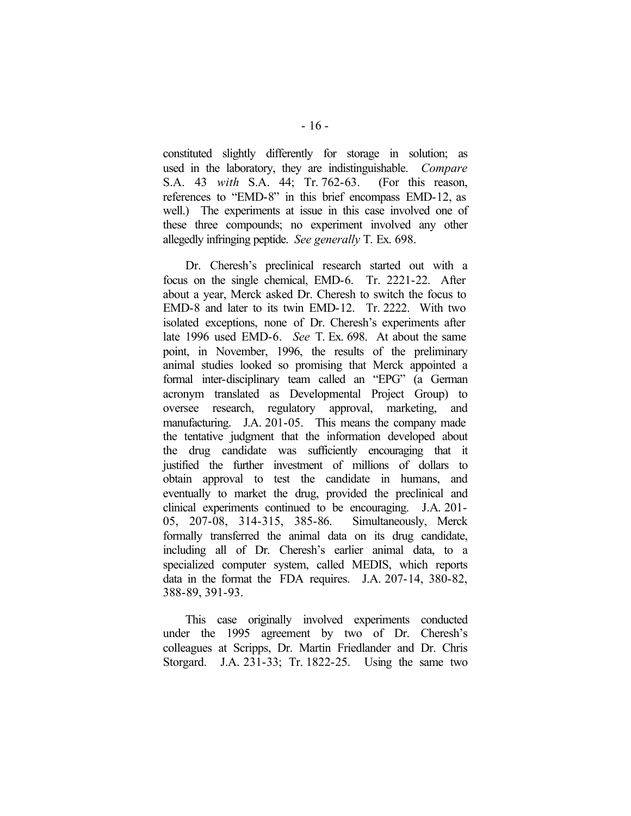constituted slightly differently for storage in solution; as used in the laboratory, they are indistinguishable. *Compare* S.A. 43 *with* S.A. 44; Tr. 762-63. (For this reason, references to "EMD-8" in this brief encompass EMD-12, as well.) The experiments at issue in this case involved one of these three compounds; no experiment involved any other allegedly infringing peptide. *See generally* T. Ex. 698.

Dr. Cheresh's preclinical research started out with a focus on the single chemical, EMD-6. Tr. 2221-22. After about a year, Merck asked Dr. Cheresh to switch the focus to EMD-8 and later to its twin EMD-12. Tr. 2222. With two isolated exceptions, none of Dr. Cheresh's experiments after late 1996 used EMD-6. *See* T. Ex. 698. At about the same point, in November, 1996, the results of the preliminary animal studies looked so promising that Merck appointed a formal inter-disciplinary team called an "EPG" (a German acronym translated as Developmental Project Group) to oversee research, regulatory approval, marketing, and manufacturing. J.A. 201-05. This means the company made the tentative judgment that the information developed about the drug candidate was sufficiently encouraging that it justified the further investment of millions of dollars to obtain approval to test the candidate in humans, and eventually to market the drug, provided the preclinical and clinical experiments continued to be encouraging. J.A. 201- 05, 207-08, 314-315, 385-86. Simultaneously, Merck formally transferred the animal data on its drug candidate, including all of Dr. Cheresh's earlier animal data, to a specialized computer system, called MEDIS, which reports data in the format the FDA requires. J.A. 207-14, 380-82, 388-89, 391-93.

This case originally involved experiments conducted under the 1995 agreement by two of Dr. Cheresh's colleagues at Scripps, Dr. Martin Friedlander and Dr. Chris Storgard. J.A. 231-33; Tr. 1822-25. Using the same two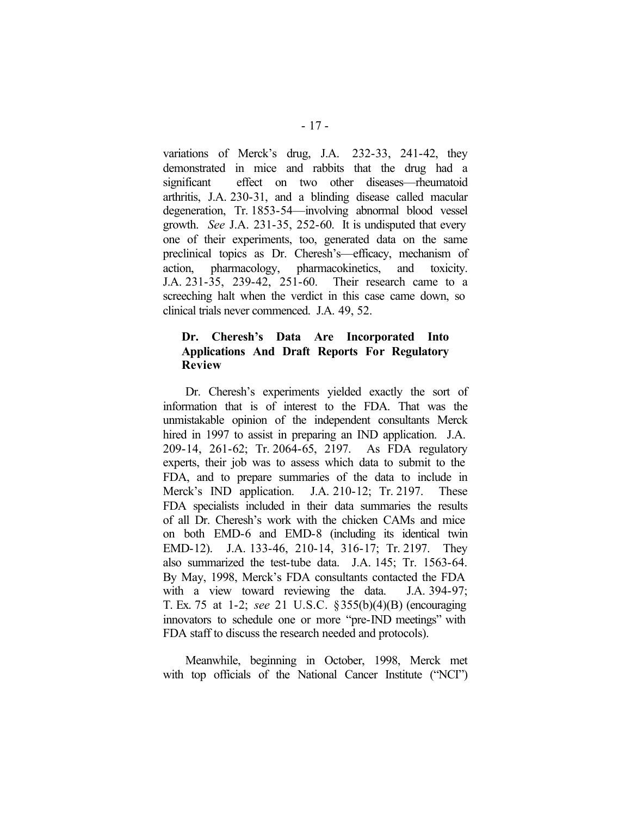variations of Merck's drug, J.A. 232-33, 241-42, they demonstrated in mice and rabbits that the drug had a significant effect on two other diseases—rheumatoid arthritis, J.A. 230-31, and a blinding disease called macular degeneration, Tr. 1853-54—involving abnormal blood vessel growth. *See* J.A. 231-35, 252-60. It is undisputed that every one of their experiments, too, generated data on the same preclinical topics as Dr. Cheresh's—efficacy, mechanism of action, pharmacology, pharmacokinetics, and toxicity. J.A. 231-35, 239-42, 251-60. Their research came to a screeching halt when the verdict in this case came down, so clinical trials never commenced. J.A. 49, 52.

# **Dr. Cheresh's Data Are Incorporated Into Applications And Draft Reports For Regulatory Review**

Dr. Cheresh's experiments yielded exactly the sort of information that is of interest to the FDA. That was the unmistakable opinion of the independent consultants Merck hired in 1997 to assist in preparing an IND application. J.A. 209-14, 261-62; Tr. 2064-65, 2197. As FDA regulatory experts, their job was to assess which data to submit to the FDA, and to prepare summaries of the data to include in Merck's IND application. J.A. 210-12; Tr. 2197. These FDA specialists included in their data summaries the results of all Dr. Cheresh's work with the chicken CAMs and mice on both EMD-6 and EMD-8 (including its identical twin EMD-12). J.A. 133-46, 210-14, 316-17; Tr. 2197. They also summarized the test-tube data. J.A. 145; Tr. 1563-64. By May, 1998, Merck's FDA consultants contacted the FDA with a view toward reviewing the data. J.A. 394-97; T. Ex. 75 at 1-2; *see* 21 U.S.C. §355(b)(4)(B) (encouraging innovators to schedule one or more "pre-IND meetings" with FDA staff to discuss the research needed and protocols).

Meanwhile, beginning in October, 1998, Merck met with top officials of the National Cancer Institute ("NCI")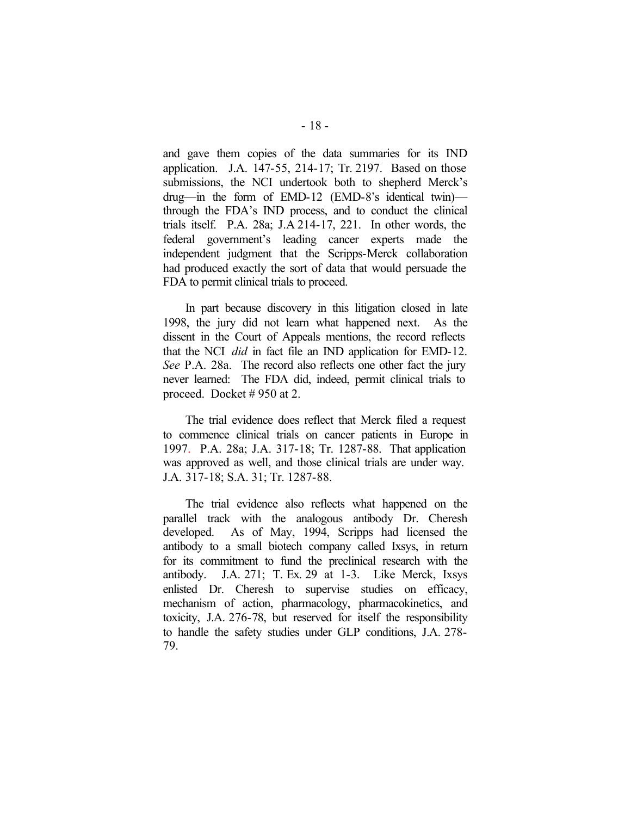and gave them copies of the data summaries for its IND application. J.A. 147-55, 214-17; Tr. 2197. Based on those submissions, the NCI undertook both to shepherd Merck's drug—in the form of EMD-12 (EMD-8's identical twin) through the FDA's IND process, and to conduct the clinical trials itself. P.A. 28a; J.A 214-17, 221. In other words, the federal government's leading cancer experts made the independent judgment that the Scripps-Merck collaboration had produced exactly the sort of data that would persuade the FDA to permit clinical trials to proceed.

In part because discovery in this litigation closed in late 1998, the jury did not learn what happened next. As the dissent in the Court of Appeals mentions, the record reflects that the NCI *did* in fact file an IND application for EMD-12. *See* P.A. 28a. The record also reflects one other fact the jury never learned: The FDA did, indeed, permit clinical trials to proceed. Docket # 950 at 2.

The trial evidence does reflect that Merck filed a request to commence clinical trials on cancer patients in Europe in 1997. P.A. 28a; J.A. 317-18; Tr. 1287-88. That application was approved as well, and those clinical trials are under way. J.A. 317-18; S.A. 31; Tr. 1287-88.

The trial evidence also reflects what happened on the parallel track with the analogous antibody Dr. Cheresh developed. As of May, 1994, Scripps had licensed the antibody to a small biotech company called Ixsys, in return for its commitment to fund the preclinical research with the antibody. J.A. 271; T. Ex. 29 at 1-3. Like Merck, Ixsys enlisted Dr. Cheresh to supervise studies on efficacy, mechanism of action, pharmacology, pharmacokinetics, and toxicity, J.A. 276-78, but reserved for itself the responsibility to handle the safety studies under GLP conditions, J.A. 278- 79.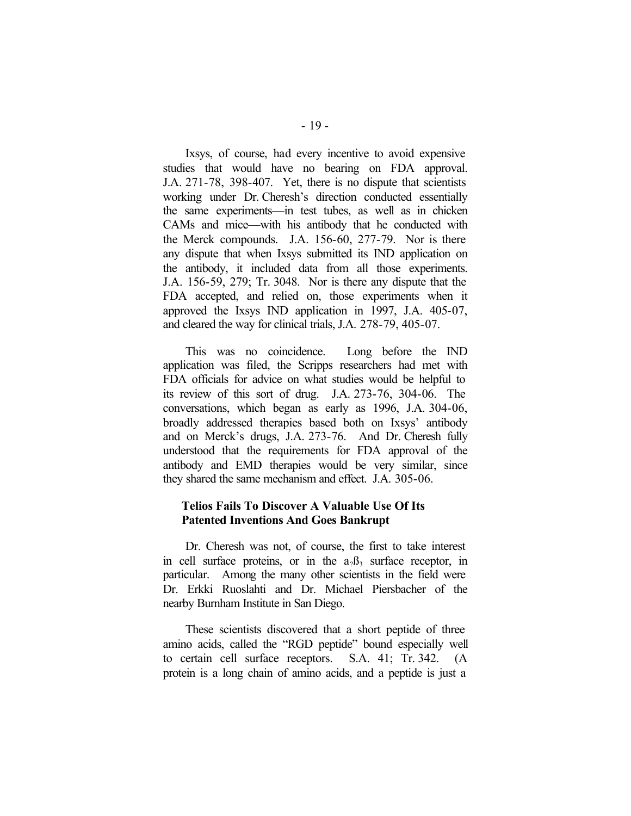Ixsys, of course, had every incentive to avoid expensive studies that would have no bearing on FDA approval. J.A. 271-78, 398-407. Yet, there is no dispute that scientists working under Dr. Cheresh's direction conducted essentially the same experiments—in test tubes, as well as in chicken CAMs and mice—with his antibody that he conducted with the Merck compounds. J.A. 156-60, 277-79. Nor is there any dispute that when Ixsys submitted its IND application on the antibody, it included data from all those experiments. J.A. 156-59, 279; Tr. 3048. Nor is there any dispute that the FDA accepted, and relied on, those experiments when it approved the Ixsys IND application in 1997, J.A. 405-07, and cleared the way for clinical trials, J.A. 278-79, 405-07.

This was no coincidence. Long before the IND application was filed, the Scripps researchers had met with FDA officials for advice on what studies would be helpful to its review of this sort of drug. J.A. 273-76, 304-06. The conversations, which began as early as 1996, J.A. 304-06, broadly addressed therapies based both on Ixsys' antibody and on Merck's drugs, J.A. 273-76. And Dr. Cheresh fully understood that the requirements for FDA approval of the antibody and EMD therapies would be very similar, since they shared the same mechanism and effect. J.A. 305-06.

### **Telios Fails To Discover A Valuable Use Of Its Patented Inventions And Goes Bankrupt**

Dr. Cheresh was not, of course, the first to take interest in cell surface proteins, or in the  $a_2B_3$  surface receptor, in particular. Among the many other scientists in the field were Dr. Erkki Ruoslahti and Dr. Michael Piersbacher of the nearby Burnham Institute in San Diego.

These scientists discovered that a short peptide of three amino acids, called the "RGD peptide" bound especially well to certain cell surface receptors. S.A. 41; Tr. 342. (A protein is a long chain of amino acids, and a peptide is just a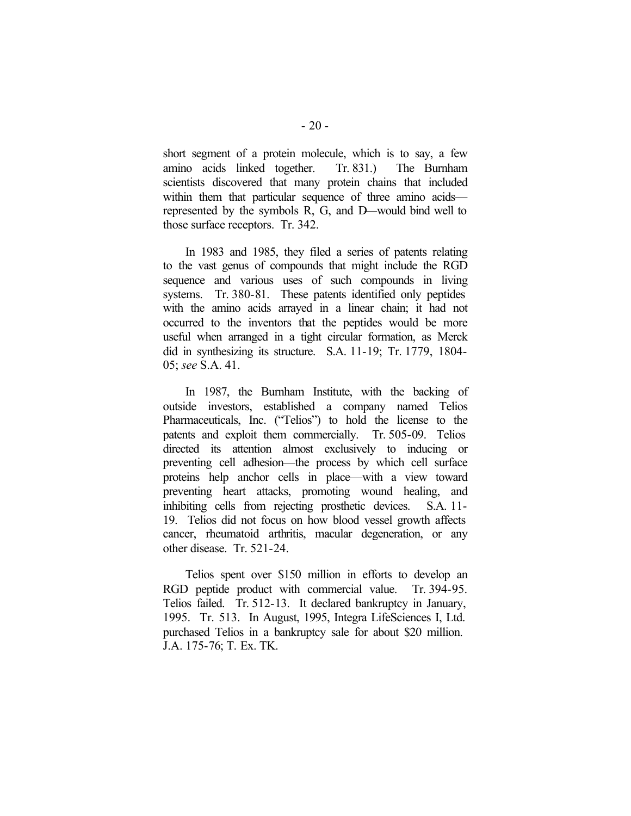short segment of a protein molecule, which is to say, a few amino acids linked together. Tr. 831.) The Burnham scientists discovered that many protein chains that included within them that particular sequence of three amino acids represented by the symbols R, G, and D—would bind well to those surface receptors. Tr. 342.

In 1983 and 1985, they filed a series of patents relating to the vast genus of compounds that might include the RGD sequence and various uses of such compounds in living systems. Tr. 380-81. These patents identified only peptides with the amino acids arrayed in a linear chain; it had not occurred to the inventors that the peptides would be more useful when arranged in a tight circular formation, as Merck did in synthesizing its structure. S.A. 11-19; Tr. 1779, 1804- 05; *see* S.A. 41.

In 1987, the Burnham Institute, with the backing of outside investors, established a company named Telios Pharmaceuticals, Inc. ("Telios") to hold the license to the patents and exploit them commercially. Tr. 505-09. Telios directed its attention almost exclusively to inducing or preventing cell adhesion—the process by which cell surface proteins help anchor cells in place—with a view toward preventing heart attacks, promoting wound healing, and inhibiting cells from rejecting prosthetic devices. S.A. 11- 19. Telios did not focus on how blood vessel growth affects cancer, rheumatoid arthritis, macular degeneration, or any other disease. Tr. 521-24.

Telios spent over \$150 million in efforts to develop an RGD peptide product with commercial value. Tr. 394-95. Telios failed. Tr. 512-13. It declared bankruptcy in January, 1995. Tr. 513. In August, 1995, Integra LifeSciences I, Ltd. purchased Telios in a bankruptcy sale for about \$20 million. J.A. 175-76; T. Ex. TK.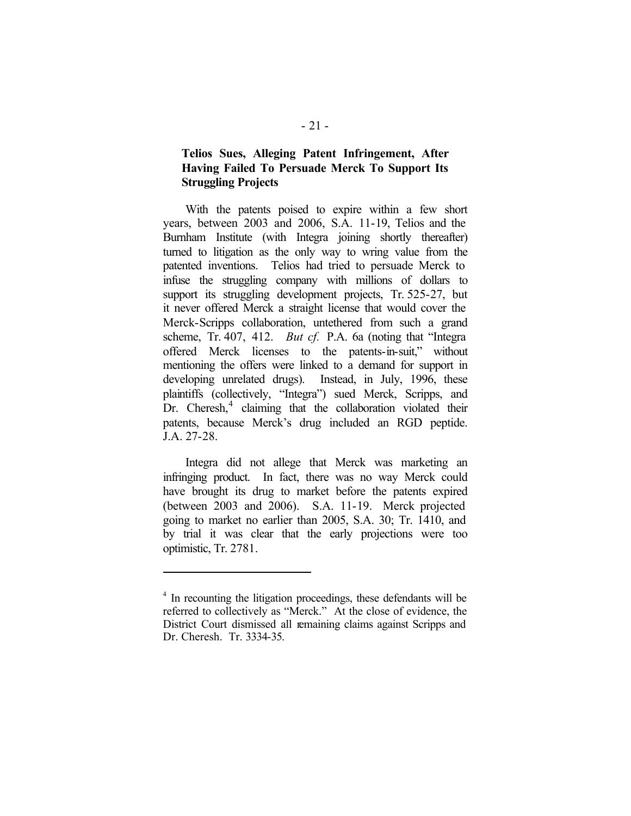# **Telios Sues, Alleging Patent Infringement, After Having Failed To Persuade Merck To Support Its Struggling Projects**

With the patents poised to expire within a few short years, between 2003 and 2006, S.A. 11-19, Telios and the Burnham Institute (with Integra joining shortly thereafter) turned to litigation as the only way to wring value from the patented inventions. Telios had tried to persuade Merck to infuse the struggling company with millions of dollars to support its struggling development projects, Tr. 525-27, but it never offered Merck a straight license that would cover the Merck-Scripps collaboration, untethered from such a grand scheme, Tr. 407, 412. *But cf.* P.A. 6a (noting that "Integra offered Merck licenses to the patents-in-suit," without mentioning the offers were linked to a demand for support in developing unrelated drugs). Instead, in July, 1996, these plaintiffs (collectively, "Integra") sued Merck, Scripps, and Dr. Cheresh,<sup>4</sup> claiming that the collaboration violated their patents, because Merck's drug included an RGD peptide. J.A. 27-28.

Integra did not allege that Merck was marketing an infringing product. In fact, there was no way Merck could have brought its drug to market before the patents expired (between 2003 and 2006). S.A. 11-19. Merck projected going to market no earlier than 2005, S.A. 30; Tr. 1410, and by trial it was clear that the early projections were too optimistic, Tr. 2781.

 $\overline{a}$ 

<sup>&</sup>lt;sup>4</sup> In recounting the litigation proceedings, these defendants will be referred to collectively as "Merck." At the close of evidence, the District Court dismissed all remaining claims against Scripps and Dr. Cheresh. Tr. 3334-35.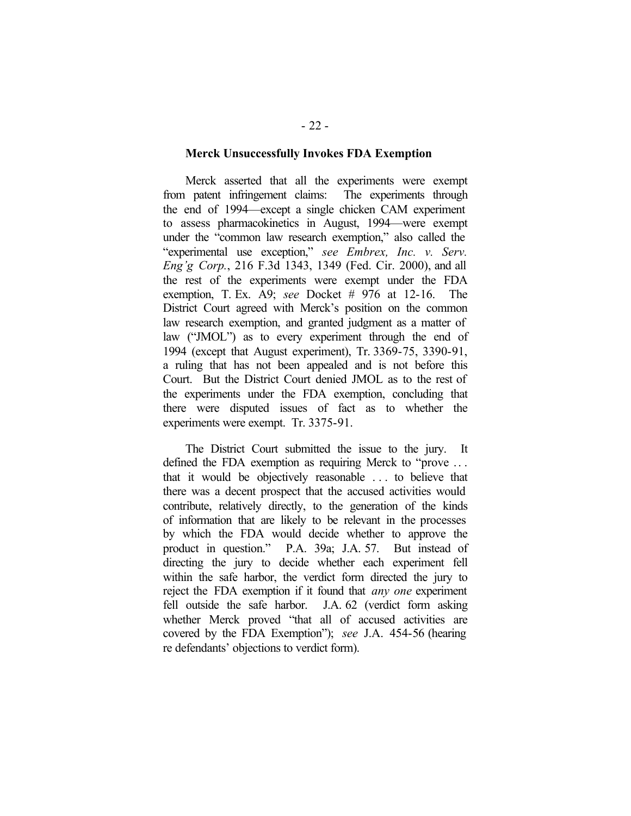#### **Merck Unsuccessfully Invokes FDA Exemption**

Merck asserted that all the experiments were exempt from patent infringement claims: The experiments through the end of 1994—except a single chicken CAM experiment to assess pharmacokinetics in August, 1994—were exempt under the "common law research exemption," also called the "experimental use exception," *see Embrex, Inc. v. Serv. Eng'g Corp.*, 216 F.3d 1343, 1349 (Fed. Cir. 2000), and all the rest of the experiments were exempt under the FDA exemption, T. Ex. A9; *see* Docket # 976 at 12-16. The District Court agreed with Merck's position on the common law research exemption, and granted judgment as a matter of law ("JMOL") as to every experiment through the end of 1994 (except that August experiment), Tr. 3369-75, 3390-91, a ruling that has not been appealed and is not before this Court. But the District Court denied JMOL as to the rest of the experiments under the FDA exemption, concluding that there were disputed issues of fact as to whether the experiments were exempt. Tr. 3375-91.

The District Court submitted the issue to the jury. It defined the FDA exemption as requiring Merck to "prove .. . that it would be objectively reasonable . . . to believe that there was a decent prospect that the accused activities would contribute, relatively directly, to the generation of the kinds of information that are likely to be relevant in the processes by which the FDA would decide whether to approve the product in question." P.A. 39a; J.A. 57. But instead of directing the jury to decide whether each experiment fell within the safe harbor, the verdict form directed the jury to reject the FDA exemption if it found that *any one* experiment fell outside the safe harbor. J.A. 62 (verdict form asking whether Merck proved "that all of accused activities are covered by the FDA Exemption"); *see* J.A. 454-56 (hearing re defendants' objections to verdict form).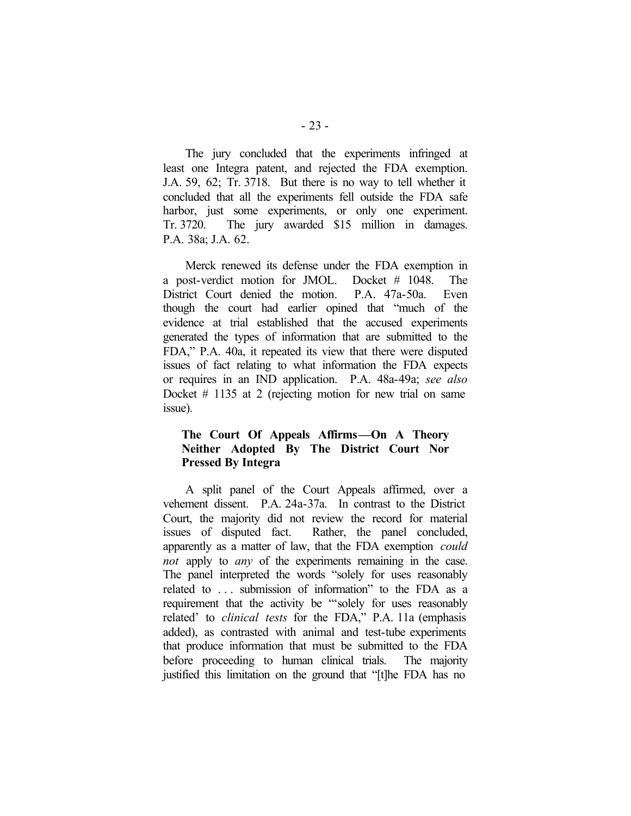The jury concluded that the experiments infringed at least one Integra patent, and rejected the FDA exemption. J.A. 59, 62; Tr. 3718. But there is no way to tell whether it concluded that all the experiments fell outside the FDA safe harbor, just some experiments, or only one experiment. Tr. 3720. The jury awarded \$15 million in damages. P.A. 38a; J.A. 62.

Merck renewed its defense under the FDA exemption in a post-verdict motion for JMOL. Docket # 1048. The District Court denied the motion. P.A. 47a-50a. Even though the court had earlier opined that "much of the evidence at trial established that the accused experiments generated the types of information that are submitted to the FDA," P.A. 40a, it repeated its view that there were disputed issues of fact relating to what information the FDA expects or requires in an IND application. P.A. 48a-49a; *see also* Docket # 1135 at 2 (rejecting motion for new trial on same issue).

### **The Court Of Appeals Affirms—On A Theory Neither Adopted By The District Court Nor Pressed By Integra**

A split panel of the Court Appeals affirmed, over a vehement dissent. P.A. 24a-37a. In contrast to the District Court, the majority did not review the record for material issues of disputed fact. Rather, the panel concluded, apparently as a matter of law, that the FDA exemption *could not* apply to *any* of the experiments remaining in the case. The panel interpreted the words "solely for uses reasonably related to . . . submission of information" to the FDA as a requirement that the activity be "'solely for uses reasonably related' to *clinical tests* for the FDA," P.A. 11a (emphasis added), as contrasted with animal and test-tube experiments that produce information that must be submitted to the FDA before proceeding to human clinical trials. The majority justified this limitation on the ground that "[t]he FDA has no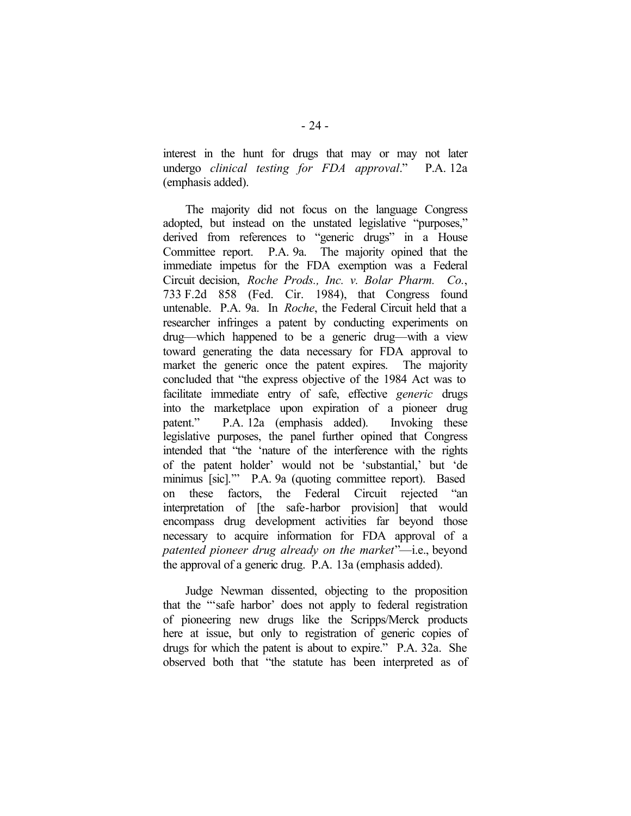interest in the hunt for drugs that may or may not later undergo *clinical testing for FDA approval*." P.A. 12a (emphasis added).

The majority did not focus on the language Congress adopted, but instead on the unstated legislative "purposes," derived from references to "generic drugs" in a House Committee report. P.A. 9a. The majority opined that the immediate impetus for the FDA exemption was a Federal Circuit decision, *Roche Prods., Inc. v. Bolar Pharm. Co.*, 733 F.2d 858 (Fed. Cir. 1984), that Congress found untenable. P.A. 9a. In *Roche*, the Federal Circuit held that a researcher infringes a patent by conducting experiments on drug—which happened to be a generic drug—with a view toward generating the data necessary for FDA approval to market the generic once the patent expires. The majority concluded that "the express objective of the 1984 Act was to facilitate immediate entry of safe, effective *generic* drugs into the marketplace upon expiration of a pioneer drug patent." P.A. 12a (emphasis added). Invoking these legislative purposes, the panel further opined that Congress intended that "the 'nature of the interference with the rights of the patent holder' would not be 'substantial,' but 'de minimus [sic].'" P.A. 9a (quoting committee report). Based on these factors, the Federal Circuit rejected "an interpretation of [the safe-harbor provision] that would encompass drug development activities far beyond those necessary to acquire information for FDA approval of a *patented pioneer drug already on the market*"—i.e., beyond the approval of a generic drug. P.A. 13a (emphasis added).

Judge Newman dissented, objecting to the proposition that the "'safe harbor' does not apply to federal registration of pioneering new drugs like the Scripps/Merck products here at issue, but only to registration of generic copies of drugs for which the patent is about to expire." P.A. 32a. She observed both that "the statute has been interpreted as of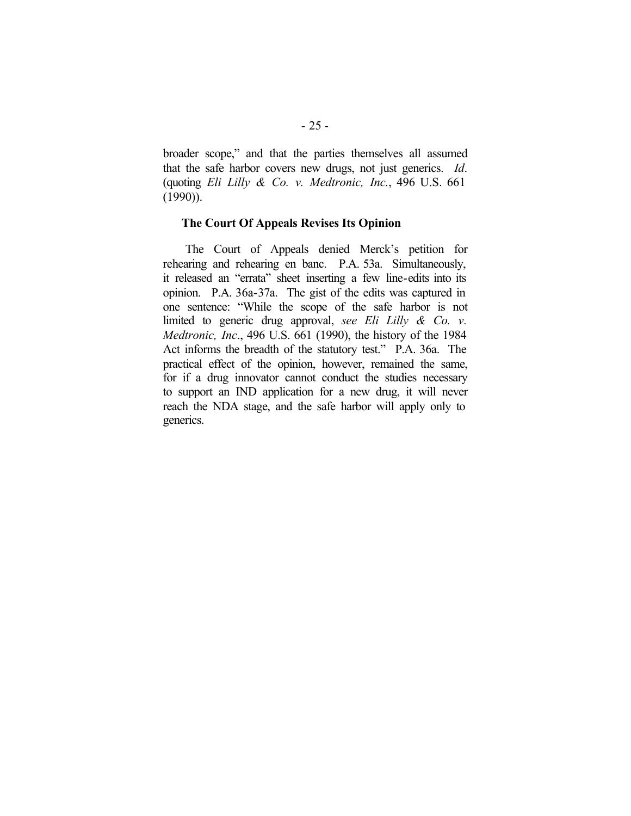broader scope," and that the parties themselves all assumed that the safe harbor covers new drugs, not just generics. *Id*. (quoting *Eli Lilly & Co. v. Medtronic, Inc.*, 496 U.S. 661  $(1990)$ ).

### **The Court Of Appeals Revises Its Opinion**

The Court of Appeals denied Merck's petition for rehearing and rehearing en banc. P.A. 53a. Simultaneously, it released an "errata" sheet inserting a few line-edits into its opinion. P.A. 36a-37a. The gist of the edits was captured in one sentence: "While the scope of the safe harbor is not limited to generic drug approval, *see Eli Lilly & Co. v. Medtronic, Inc*., 496 U.S. 661 (1990), the history of the 1984 Act informs the breadth of the statutory test." P.A. 36a. The practical effect of the opinion, however, remained the same, for if a drug innovator cannot conduct the studies necessary to support an IND application for a new drug, it will never reach the NDA stage, and the safe harbor will apply only to generics.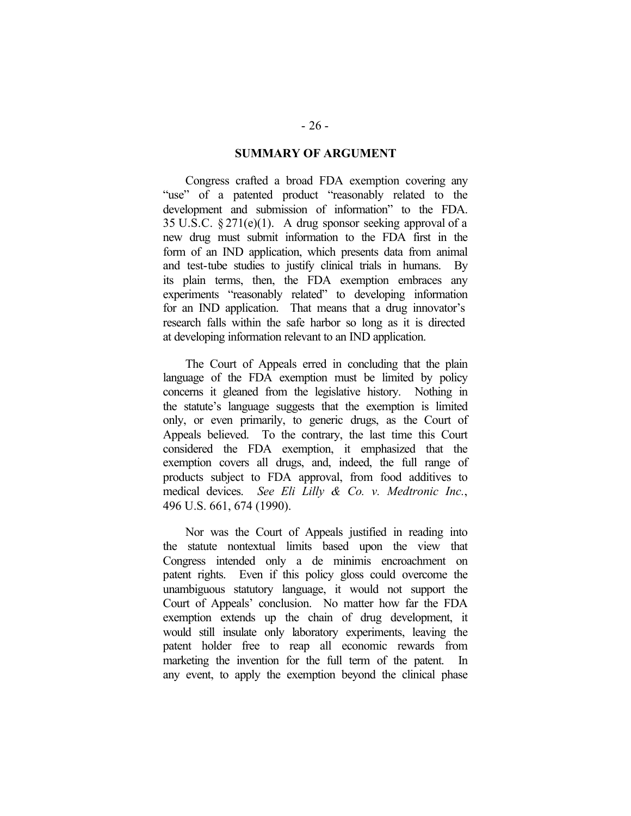### **SUMMARY OF ARGUMENT**

Congress crafted a broad FDA exemption covering any "use" of a patented product "reasonably related to the development and submission of information" to the FDA. 35 U.S.C.  $\S 271(e)(1)$ . A drug sponsor seeking approval of a new drug must submit information to the FDA first in the form of an IND application, which presents data from animal and test-tube studies to justify clinical trials in humans. By its plain terms, then, the FDA exemption embraces any experiments "reasonably related" to developing information for an IND application. That means that a drug innovator's research falls within the safe harbor so long as it is directed at developing information relevant to an IND application.

The Court of Appeals erred in concluding that the plain language of the FDA exemption must be limited by policy concerns it gleaned from the legislative history. Nothing in the statute's language suggests that the exemption is limited only, or even primarily, to generic drugs, as the Court of Appeals believed. To the contrary, the last time this Court considered the FDA exemption, it emphasized that the exemption covers all drugs, and, indeed, the full range of products subject to FDA approval, from food additives to medical devices. *See Eli Lilly & Co. v. Medtronic Inc.*, 496 U.S. 661, 674 (1990).

Nor was the Court of Appeals justified in reading into the statute nontextual limits based upon the view that Congress intended only a de minimis encroachment on patent rights. Even if this policy gloss could overcome the unambiguous statutory language, it would not support the Court of Appeals' conclusion. No matter how far the FDA exemption extends up the chain of drug development, it would still insulate only laboratory experiments, leaving the patent holder free to reap all economic rewards from marketing the invention for the full term of the patent. In any event, to apply the exemption beyond the clinical phase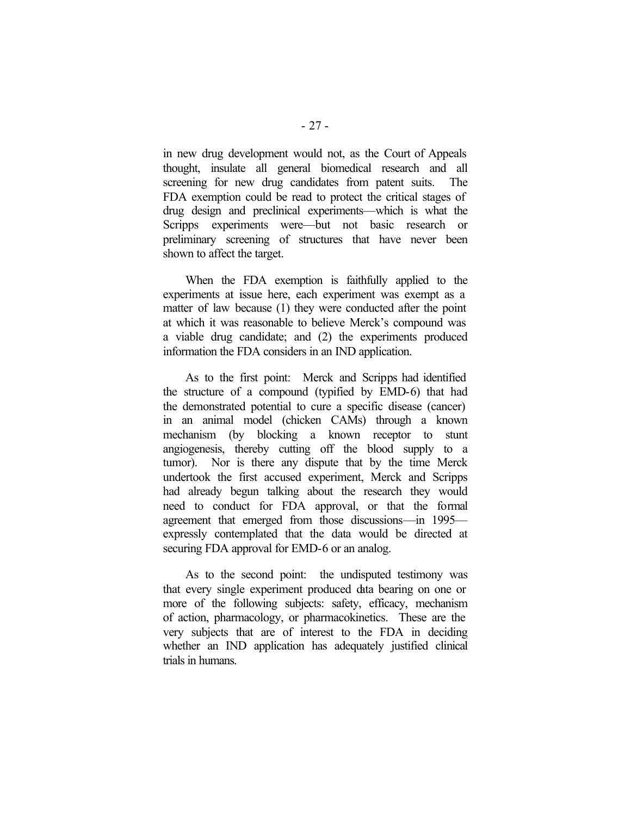in new drug development would not, as the Court of Appeals thought, insulate all general biomedical research and all screening for new drug candidates from patent suits. The FDA exemption could be read to protect the critical stages of drug design and preclinical experiments—which is what the Scripps experiments were—but not basic research or preliminary screening of structures that have never been shown to affect the target.

When the FDA exemption is faithfully applied to the experiments at issue here, each experiment was exempt as a matter of law because (1) they were conducted after the point at which it was reasonable to believe Merck's compound was a viable drug candidate; and (2) the experiments produced information the FDA considers in an IND application.

As to the first point: Merck and Scripps had identified the structure of a compound (typified by EMD-6) that had the demonstrated potential to cure a specific disease (cancer) in an animal model (chicken CAMs) through a known mechanism (by blocking a known receptor to stunt angiogenesis, thereby cutting off the blood supply to a tumor). Nor is there any dispute that by the time Merck undertook the first accused experiment, Merck and Scripps had already begun talking about the research they would need to conduct for FDA approval, or that the formal agreement that emerged from those discussions—in 1995 expressly contemplated that the data would be directed at securing FDA approval for EMD-6 or an analog.

As to the second point: the undisputed testimony was that every single experiment produced data bearing on one or more of the following subjects: safety, efficacy, mechanism of action, pharmacology, or pharmacokinetics. These are the very subjects that are of interest to the FDA in deciding whether an IND application has adequately justified clinical trials in humans.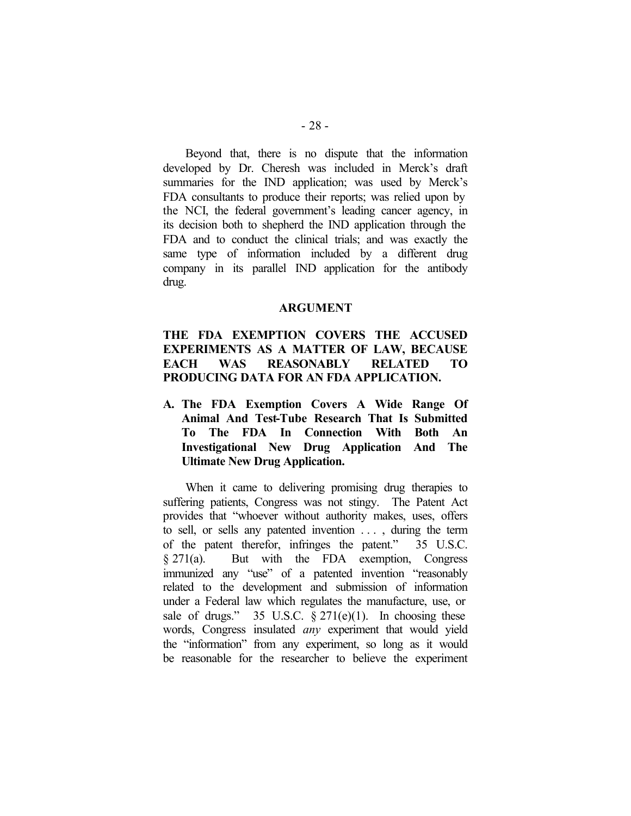Beyond that, there is no dispute that the information developed by Dr. Cheresh was included in Merck's draft summaries for the IND application; was used by Merck's FDA consultants to produce their reports; was relied upon by the NCI, the federal government's leading cancer agency, in its decision both to shepherd the IND application through the FDA and to conduct the clinical trials; and was exactly the same type of information included by a different drug company in its parallel IND application for the antibody drug.

### **ARGUMENT**

# **THE FDA EXEMPTION COVERS THE ACCUSED EXPERIMENTS AS A MATTER OF LAW, BECAUSE EACH WAS REASONABLY RELATED TO PRODUCING DATA FOR AN FDA APPLICATION.**

**A. The FDA Exemption Covers A Wide Range Of Animal And Test-Tube Research That Is Submitted To The FDA In Connection With Both An Investigational New Drug Application And The Ultimate New Drug Application.**

When it came to delivering promising drug therapies to suffering patients, Congress was not stingy. The Patent Act provides that "whoever without authority makes, uses, offers to sell, or sells any patented invention . . . , during the term of the patent therefor, infringes the patent." 35 U.S.C. § 271(a). But with the FDA exemption, Congress immunized any "use" of a patented invention "reasonably related to the development and submission of information under a Federal law which regulates the manufacture, use, or sale of drugs." 35 U.S.C.  $\S 271(e)(1)$ . In choosing these words, Congress insulated *any* experiment that would yield the "information" from any experiment, so long as it would be reasonable for the researcher to believe the experiment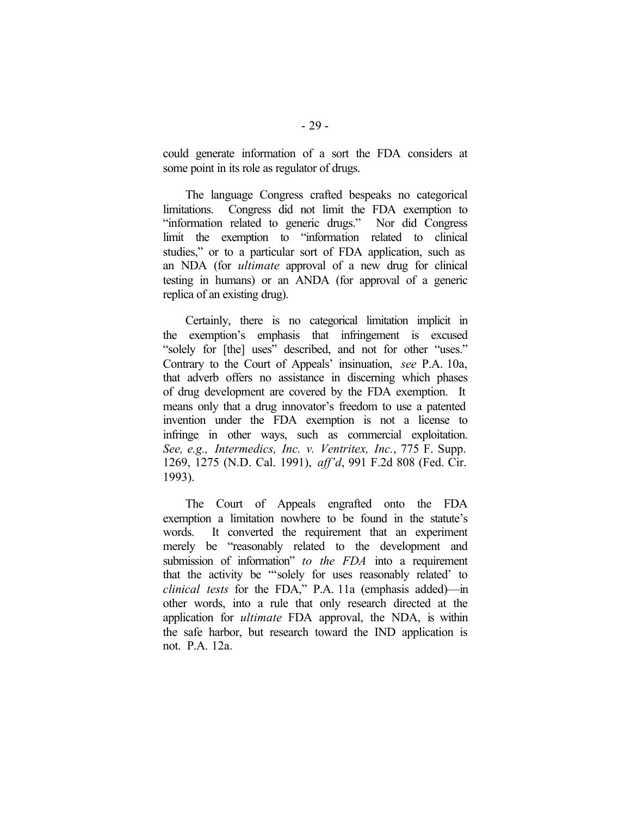could generate information of a sort the FDA considers at some point in its role as regulator of drugs.

The language Congress crafted bespeaks no categorical limitations. Congress did not limit the FDA exemption to "information related to generic drugs." Nor did Congress limit the exemption to "information related to clinical studies," or to a particular sort of FDA application, such as an NDA (for *ultimate* approval of a new drug for clinical testing in humans) or an ANDA (for approval of a generic replica of an existing drug).

Certainly, there is no categorical limitation implicit in the exemption's emphasis that infringement is excused "solely for [the] uses" described, and not for other "uses." Contrary to the Court of Appeals' insinuation, *see* P.A. 10a, that adverb offers no assistance in discerning which phases of drug development are covered by the FDA exemption. It means only that a drug innovator's freedom to use a patented invention under the FDA exemption is not a license to infringe in other ways, such as commercial exploitation. *See, e.g., Intermedics, Inc. v. Ventritex, Inc.*, 775 F. Supp. 1269, 1275 (N.D. Cal. 1991), *aff'd*, 991 F.2d 808 (Fed. Cir. 1993).

The Court of Appeals engrafted onto the FDA exemption a limitation nowhere to be found in the statute's words. It converted the requirement that an experiment merely be "reasonably related to the development and submission of information" *to the FDA* into a requirement that the activity be "'solely for uses reasonably related' to *clinical tests* for the FDA," P.A. 11a (emphasis added)—in other words, into a rule that only research directed at the application for *ultimate* FDA approval, the NDA, is within the safe harbor, but research toward the IND application is not. P.A. 12a.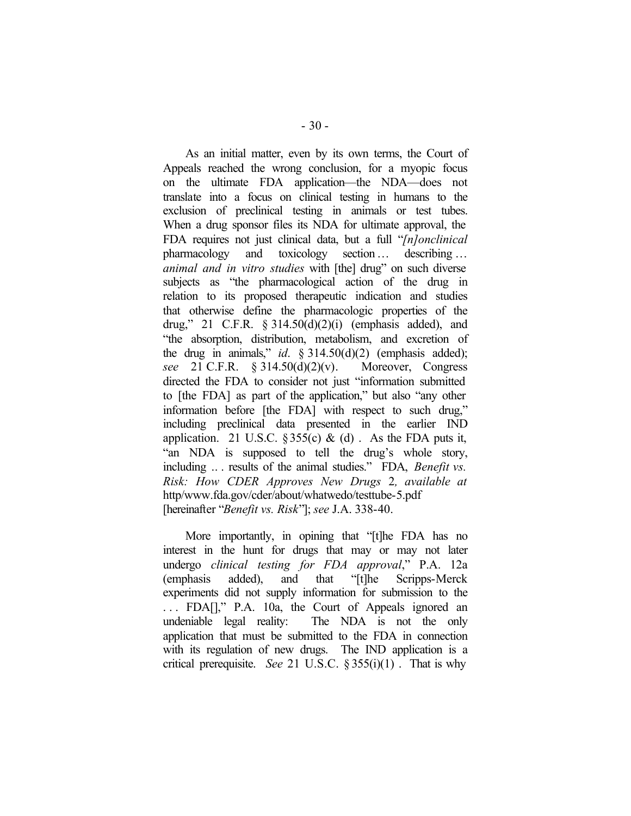As an initial matter, even by its own terms, the Court of Appeals reached the wrong conclusion, for a myopic focus on the ultimate FDA application—the NDA—does not translate into a focus on clinical testing in humans to the exclusion of preclinical testing in animals or test tubes. When a drug sponsor files its NDA for ultimate approval, the FDA requires not just clinical data, but a full "*[n]onclinical* pharmacology and toxicology section… describing … *animal and in vitro studies* with [the] drug" on such diverse subjects as "the pharmacological action of the drug in relation to its proposed therapeutic indication and studies that otherwise define the pharmacologic properties of the drug," 21 C.F.R.  $\S 314.50(d)(2)(i)$  (emphasis added), and "the absorption, distribution, metabolism, and excretion of the drug in animals," *id*. § 314.50(d)(2) (emphasis added); *see* 21 C.F.R. § 314.50(d)(2)(v). Moreover, Congress directed the FDA to consider not just "information submitted to [the FDA] as part of the application," but also "any other information before [the FDA] with respect to such drug," including preclinical data presented in the earlier IND application. 21 U.S.C. § 355(c) & (d). As the FDA puts it, "an NDA is supposed to tell the drug's whole story, including .. . results of the animal studies." FDA, *Benefit vs. Risk: How CDER Approves New Drugs* 2*, available at* http/www.fda.gov/cder/about/whatwedo/testtube-5.pdf [hereinafter "*Benefit vs. Risk*"]; *see* J.A. 338-40.

More importantly, in opining that "[t]he FDA has no interest in the hunt for drugs that may or may not later undergo *clinical testing for FDA approval*," P.A. 12a (emphasis added), and that "[t]he Scripps-Merck experiments did not supply information for submission to the . . . FDA[]," P.A. 10a, the Court of Appeals ignored an undeniable legal reality: The NDA is not the only application that must be submitted to the FDA in connection with its regulation of new drugs. The IND application is a critical prerequisite. *See* 21 U.S.C. § 355(i)(1) . That is why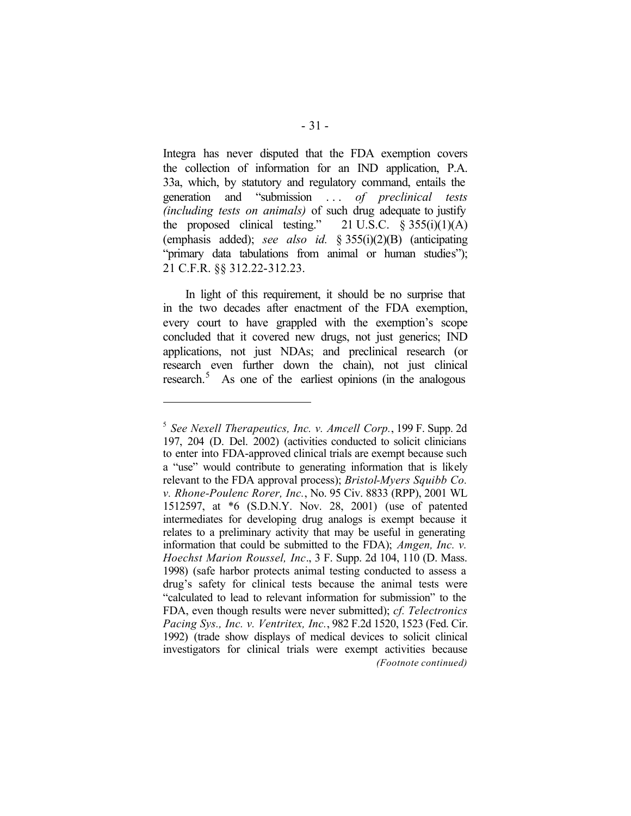Integra has never disputed that the FDA exemption covers the collection of information for an IND application, P.A. 33a, which, by statutory and regulatory command, entails the generation and "submission . . . *of preclinical tests (including tests on animals)* of such drug adequate to justify the proposed clinical testing."  $21$  U.S.C. § 355(i)(1)(A) (emphasis added); *see also id.* § 355(i)(2)(B) (anticipating "primary data tabulations from animal or human studies"); 21 C.F.R. §§ 312.22-312.23.

In light of this requirement, it should be no surprise that in the two decades after enactment of the FDA exemption, every court to have grappled with the exemption's scope concluded that it covered new drugs, not just generics; IND applications, not just NDAs; and preclinical research (or research even further down the chain), not just clinical research.<sup>5</sup> As one of the earliest opinions (in the analogous

 $\overline{a}$ 

<sup>5</sup> *See Nexell Therapeutics, Inc. v. Amcell Corp.*, 199 F. Supp. 2d 197, 204 (D. Del. 2002) (activities conducted to solicit clinicians to enter into FDA-approved clinical trials are exempt because such a "use" would contribute to generating information that is likely relevant to the FDA approval process); *Bristol-Myers Squibb Co. v. Rhone-Poulenc Rorer, Inc.*, No. 95 Civ. 8833 (RPP), 2001 WL 1512597, at \*6 (S.D.N.Y. Nov. 28, 2001) (use of patented intermediates for developing drug analogs is exempt because it relates to a preliminary activity that may be useful in generating information that could be submitted to the FDA); *Amgen, Inc. v. Hoechst Marion Roussel, Inc*., 3 F. Supp. 2d 104, 110 (D. Mass. 1998) (safe harbor protects animal testing conducted to assess a drug's safety for clinical tests because the animal tests were "calculated to lead to relevant information for submission" to the FDA, even though results were never submitted); *cf. Telectronics Pacing Sys., Inc. v. Ventritex, Inc.*, 982 F.2d 1520, 1523 (Fed. Cir. 1992) (trade show displays of medical devices to solicit clinical investigators for clinical trials were exempt activities because *(Footnote continued)*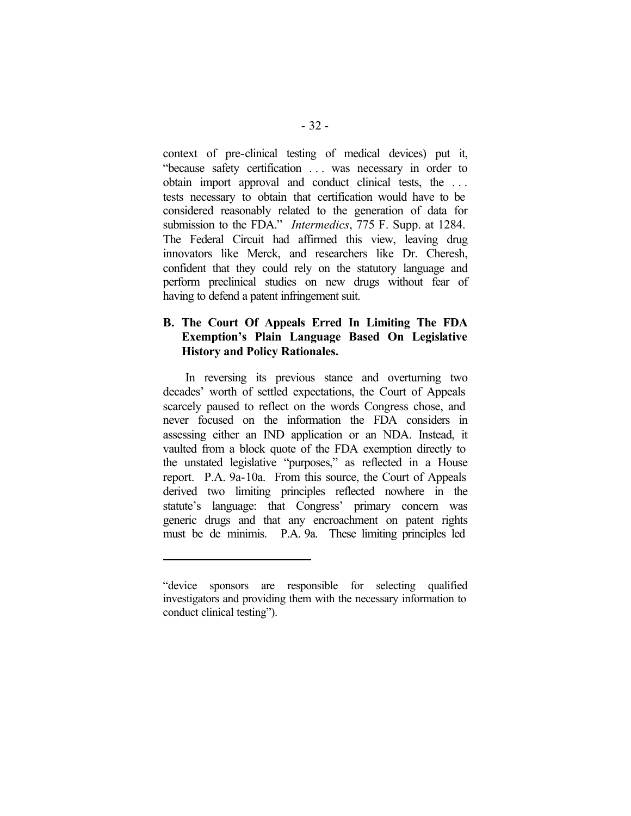context of pre-clinical testing of medical devices) put it, "because safety certification . . . was necessary in order to obtain import approval and conduct clinical tests, the . . . tests necessary to obtain that certification would have to be considered reasonably related to the generation of data for submission to the FDA." *Intermedics*, 775 F. Supp. at 1284. The Federal Circuit had affirmed this view, leaving drug innovators like Merck, and researchers like Dr. Cheresh, confident that they could rely on the statutory language and perform preclinical studies on new drugs without fear of having to defend a patent infringement suit.

### **B. The Court Of Appeals Erred In Limiting The FDA Exemption's Plain Language Based On Legislative History and Policy Rationales.**

In reversing its previous stance and overturning two decades' worth of settled expectations, the Court of Appeals scarcely paused to reflect on the words Congress chose, and never focused on the information the FDA considers in assessing either an IND application or an NDA. Instead, it vaulted from a block quote of the FDA exemption directly to the unstated legislative "purposes," as reflected in a House report. P.A. 9a-10a. From this source, the Court of Appeals derived two limiting principles reflected nowhere in the statute's language: that Congress' primary concern was generic drugs and that any encroachment on patent rights must be de minimis. P.A. 9a. These limiting principles led

 $\overline{a}$ 

<sup>&</sup>quot;device sponsors are responsible for selecting qualified investigators and providing them with the necessary information to conduct clinical testing").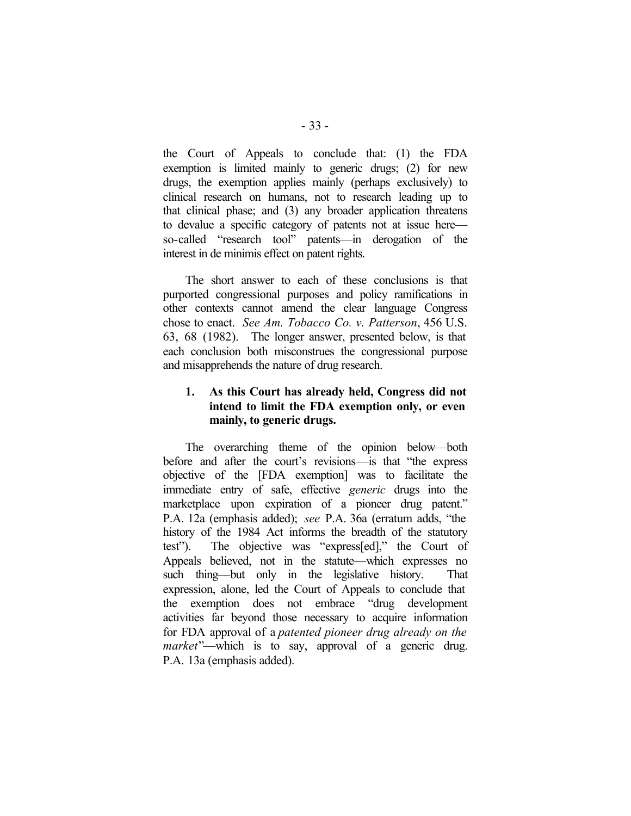the Court of Appeals to conclude that: (1) the FDA exemption is limited mainly to generic drugs; (2) for new drugs, the exemption applies mainly (perhaps exclusively) to clinical research on humans, not to research leading up to that clinical phase; and (3) any broader application threatens to devalue a specific category of patents not at issue here so-called "research tool" patents—in derogation of the interest in de minimis effect on patent rights.

The short answer to each of these conclusions is that purported congressional purposes and policy ramifications in other contexts cannot amend the clear language Congress chose to enact. *See Am. Tobacco Co. v. Patterson*, 456 U.S. 63, 68 (1982). The longer answer, presented below, is that each conclusion both misconstrues the congressional purpose and misapprehends the nature of drug research.

# **1. As this Court has already held, Congress did not intend to limit the FDA exemption only, or even mainly, to generic drugs.**

The overarching theme of the opinion below—both before and after the court's revisions—is that "the express objective of the [FDA exemption] was to facilitate the immediate entry of safe, effective *generic* drugs into the marketplace upon expiration of a pioneer drug patent." P.A. 12a (emphasis added); *see* P.A. 36a (erratum adds, "the history of the 1984 Act informs the breadth of the statutory test"). The objective was "express[ed]," the Court of Appeals believed, not in the statute—which expresses no such thing—but only in the legislative history. That expression, alone, led the Court of Appeals to conclude that the exemption does not embrace "drug development activities far beyond those necessary to acquire information for FDA approval of a *patented pioneer drug already on the market*"—which is to say, approval of a generic drug. P.A. 13a (emphasis added).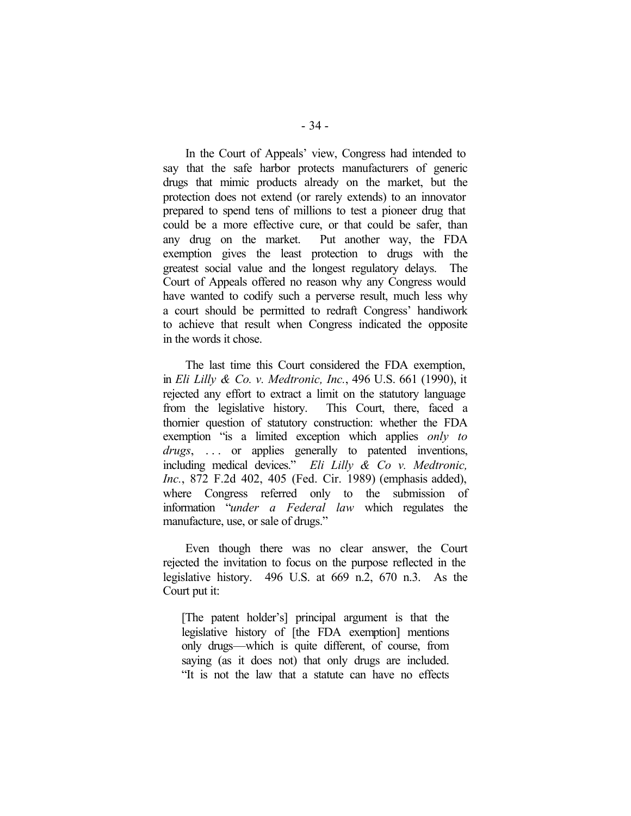In the Court of Appeals' view, Congress had intended to say that the safe harbor protects manufacturers of generic drugs that mimic products already on the market, but the protection does not extend (or rarely extends) to an innovator prepared to spend tens of millions to test a pioneer drug that could be a more effective cure, or that could be safer, than any drug on the market. Put another way, the FDA exemption gives the least protection to drugs with the greatest social value and the longest regulatory delays. The Court of Appeals offered no reason why any Congress would have wanted to codify such a perverse result, much less why a court should be permitted to redraft Congress' handiwork to achieve that result when Congress indicated the opposite in the words it chose.

The last time this Court considered the FDA exemption, in *Eli Lilly & Co. v. Medtronic, Inc.*, 496 U.S. 661 (1990), it rejected any effort to extract a limit on the statutory language from the legislative history. This Court, there, faced a thornier question of statutory construction: whether the FDA exemption "is a limited exception which applies *only to drugs*, ... or applies generally to patented inventions, including medical devices." *Eli Lilly & Co v. Medtronic, Inc.*, 872 F.2d 402, 405 (Fed. Cir. 1989) (emphasis added), where Congress referred only to the submission of information "*under a Federal law* which regulates the manufacture, use, or sale of drugs."

Even though there was no clear answer, the Court rejected the invitation to focus on the purpose reflected in the legislative history. 496 U.S. at 669 n.2, 670 n.3. As the Court put it:

[The patent holder's] principal argument is that the legislative history of [the FDA exemption] mentions only drugs—which is quite different, of course, from saying (as it does not) that only drugs are included. "It is not the law that a statute can have no effects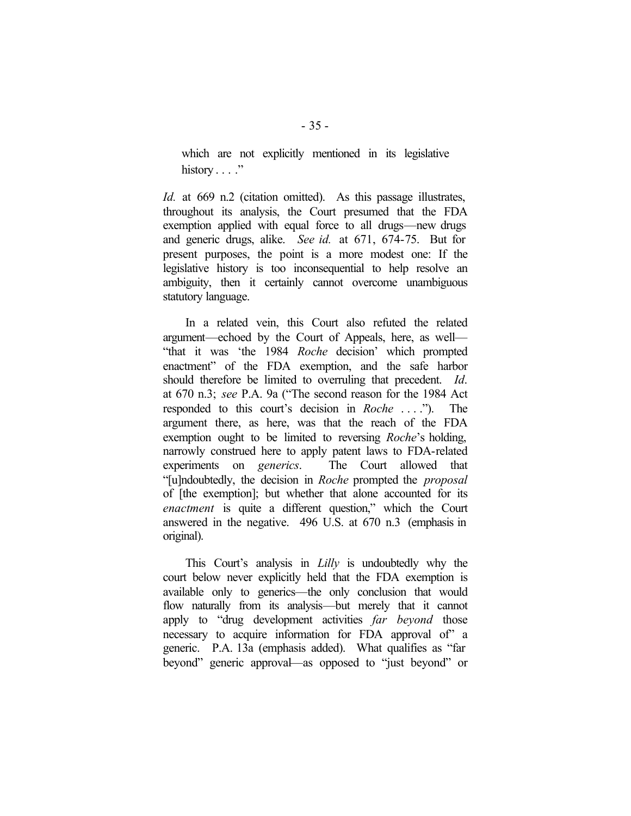which are not explicitly mentioned in its legislative history  $\ldots$  ."

*Id.* at 669 n.2 (citation omitted). As this passage illustrates, throughout its analysis, the Court presumed that the FDA exemption applied with equal force to all drugs—new drugs and generic drugs, alike. *See id.* at 671, 674-75. But for present purposes, the point is a more modest one: If the legislative history is too inconsequential to help resolve an ambiguity, then it certainly cannot overcome unambiguous statutory language.

In a related vein, this Court also refuted the related argument—echoed by the Court of Appeals, here, as well— "that it was 'the 1984 *Roche* decision' which prompted enactment" of the FDA exemption, and the safe harbor should therefore be limited to overruling that precedent. *Id*. at 670 n.3; *see* P.A. 9a ("The second reason for the 1984 Act responded to this court's decision in *Roche* . . . ."). The argument there, as here, was that the reach of the FDA exemption ought to be limited to reversing *Roche*'s holding, narrowly construed here to apply patent laws to FDA-related experiments on *generics*. The Court allowed that "[u]ndoubtedly, the decision in *Roche* prompted the *proposal* of [the exemption]; but whether that alone accounted for its *enactment* is quite a different question," which the Court answered in the negative. 496 U.S. at 670 n.3 (emphasis in original).

This Court's analysis in *Lilly* is undoubtedly why the court below never explicitly held that the FDA exemption is available only to generics—the only conclusion that would flow naturally from its analysis—but merely that it cannot apply to "drug development activities *far beyond* those necessary to acquire information for FDA approval of" a generic. P.A. 13a (emphasis added). What qualifies as "far beyond" generic approval—as opposed to "just beyond" or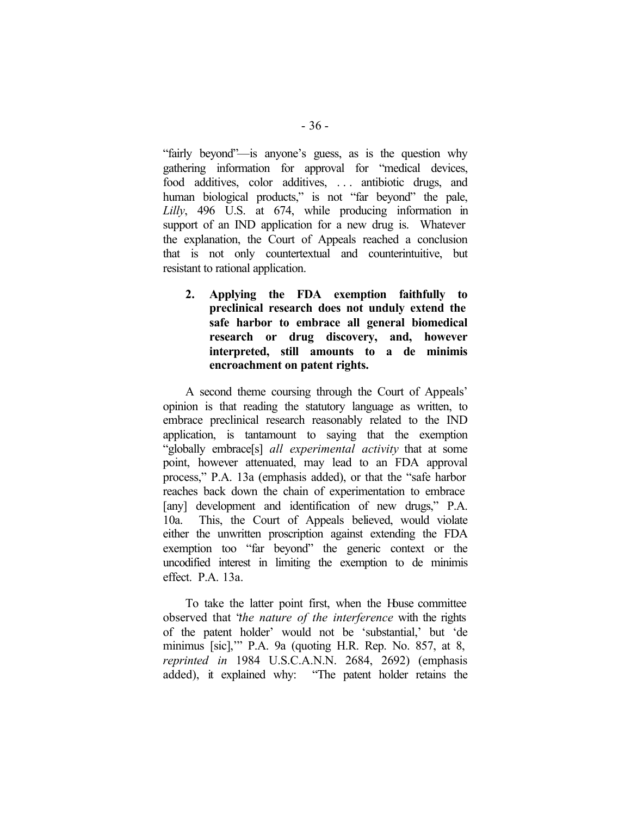"fairly beyond"—is anyone's guess, as is the question why gathering information for approval for "medical devices, food additives, color additives, . . . antibiotic drugs, and human biological products," is not "far beyond" the pale, *Lilly*, 496 U.S. at 674, while producing information in support of an IND application for a new drug is. Whatever the explanation, the Court of Appeals reached a conclusion that is not only countertextual and counterintuitive, but resistant to rational application.

**2. Applying the FDA exemption faithfully to preclinical research does not unduly extend the safe harbor to embrace all general biomedical research or drug discovery, and, however interpreted, still amounts to a de minimis encroachment on patent rights.**

A second theme coursing through the Court of Appeals' opinion is that reading the statutory language as written, to embrace preclinical research reasonably related to the IND application, is tantamount to saying that the exemption "globally embrace[s] *all experimental activity* that at some point, however attenuated, may lead to an FDA approval process," P.A. 13a (emphasis added), or that the "safe harbor reaches back down the chain of experimentation to embrace [any] development and identification of new drugs," P.A. 10a. This, the Court of Appeals believed, would violate either the unwritten proscription against extending the FDA exemption too "far beyond" the generic context or the uncodified interest in limiting the exemption to de minimis effect. P.A. 13a.

To take the latter point first, when the House committee observed that "*the nature of the interference* with the rights of the patent holder' would not be 'substantial,' but 'de minimus [sic],'" P.A. 9a (quoting H.R. Rep. No. 857, at 8, *reprinted in* 1984 U.S.C.A.N.N. 2684, 2692) (emphasis added), it explained why: "The patent holder retains the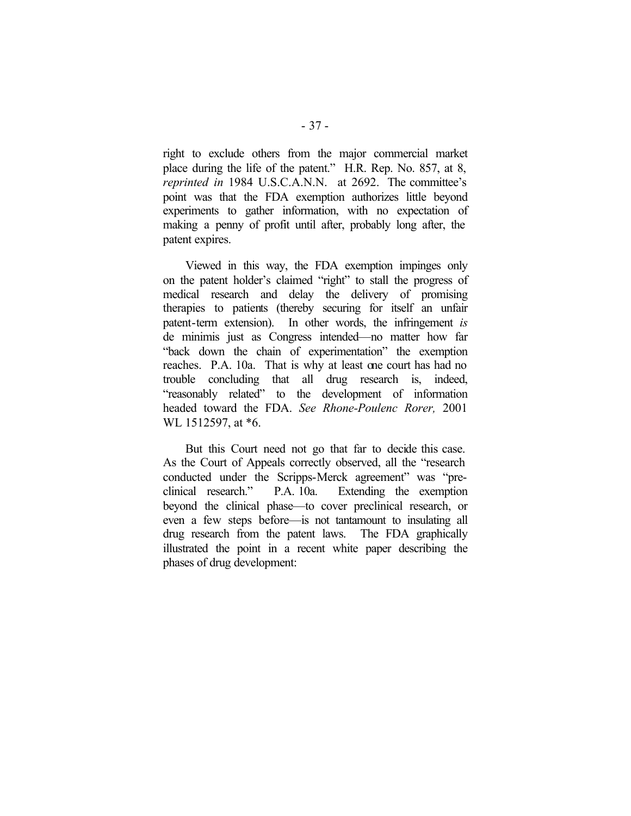right to exclude others from the major commercial market place during the life of the patent." H.R. Rep. No. 857, at 8, *reprinted in* 1984 U.S.C.A.N.N. at 2692. The committee's point was that the FDA exemption authorizes little beyond experiments to gather information, with no expectation of making a penny of profit until after, probably long after, the patent expires.

Viewed in this way, the FDA exemption impinges only on the patent holder's claimed "right" to stall the progress of medical research and delay the delivery of promising therapies to patients (thereby securing for itself an unfair patent-term extension). In other words, the infringement *is* de minimis just as Congress intended—no matter how far "back down the chain of experimentation" the exemption reaches. P.A. 10a. That is why at least one court has had no trouble concluding that all drug research is, indeed, "reasonably related" to the development of information headed toward the FDA. *See Rhone-Poulenc Rorer,* 2001 WL 1512597, at  $*6$ .

But this Court need not go that far to decide this case. As the Court of Appeals correctly observed, all the "research conducted under the Scripps-Merck agreement" was "preclinical research." P.A. 10a. Extending the exemption beyond the clinical phase—to cover preclinical research, or even a few steps before—is not tantamount to insulating all drug research from the patent laws. The FDA graphically illustrated the point in a recent white paper describing the phases of drug development: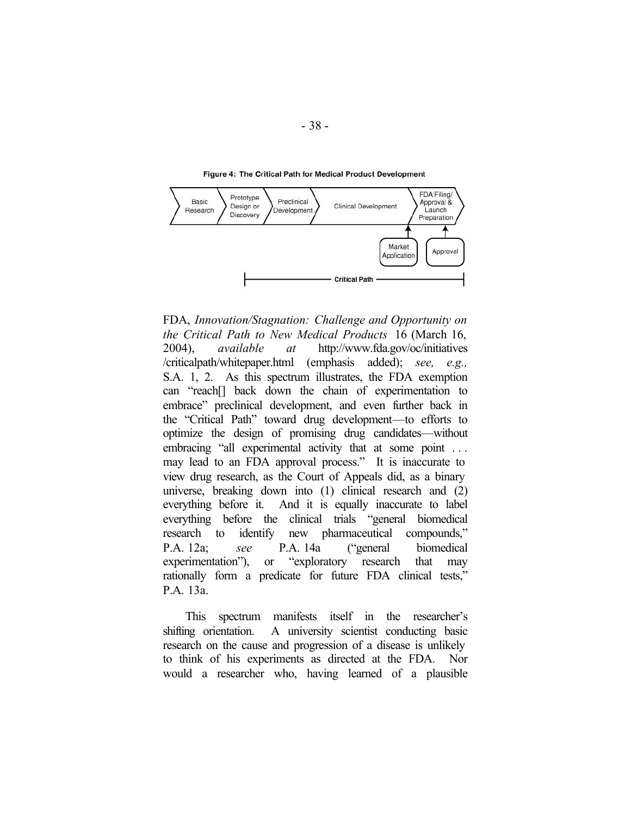

Figure 4: The Critical Path for Medical Product Development

FDA, *Innovation/Stagnation: Challenge and Opportunity on the Critical Path to New Medical Products* 16 (March 16, 2004), *available at* http://www.fda.gov/oc/initiatives /criticalpath/whitepaper.html (emphasis added); *see, e.g.,* S.A. 1, 2. As this spectrum illustrates, the FDA exemption can "reach[] back down the chain of experimentation to embrace" preclinical development, and even further back in the "Critical Path" toward drug development—to efforts to optimize the design of promising drug candidates—without embracing "all experimental activity that at some point ... may lead to an FDA approval process." It is inaccurate to view drug research, as the Court of Appeals did, as a binary universe, breaking down into (1) clinical research and (2) everything before it. And it is equally inaccurate to label everything before the clinical trials "general biomedical research to identify new pharmaceutical compounds," P.A. 12a; *see* P.A. 14a ("general biomedical experimentation"), or "exploratory research that may rationally form a predicate for future FDA clinical tests," P.A. 13a.

This spectrum manifests itself in the researcher's shifting orientation. A university scientist conducting basic research on the cause and progression of a disease is unlikely to think of his experiments as directed at the FDA. Nor would a researcher who, having learned of a plausible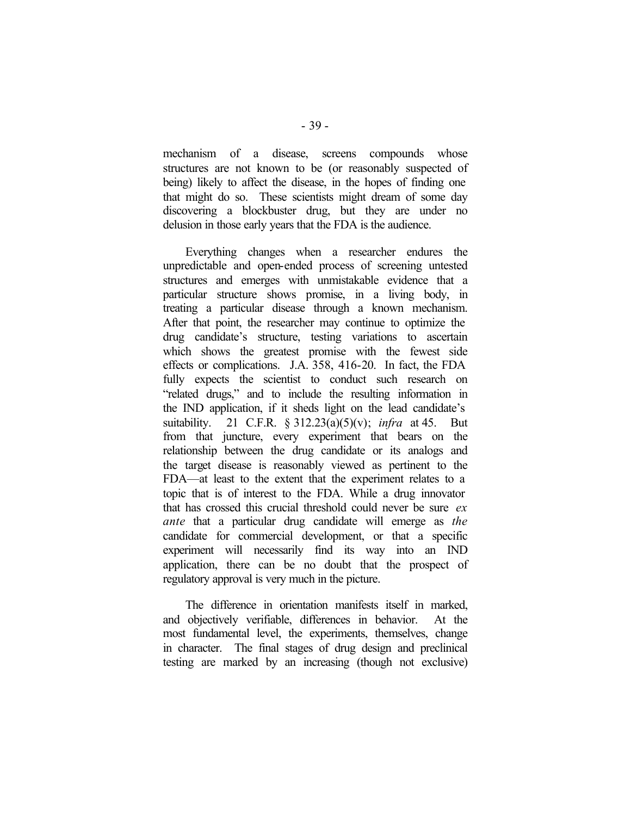mechanism of a disease, screens compounds whose structures are not known to be (or reasonably suspected of being) likely to affect the disease, in the hopes of finding one that might do so. These scientists might dream of some day discovering a blockbuster drug, but they are under no delusion in those early years that the FDA is the audience.

Everything changes when a researcher endures the unpredictable and open-ended process of screening untested structures and emerges with unmistakable evidence that a particular structure shows promise, in a living body, in treating a particular disease through a known mechanism. After that point, the researcher may continue to optimize the drug candidate's structure, testing variations to ascertain which shows the greatest promise with the fewest side effects or complications. J.A. 358, 416-20. In fact, the FDA fully expects the scientist to conduct such research on "related drugs," and to include the resulting information in the IND application, if it sheds light on the lead candidate's suitability. 21 C.F.R. § 312.23(a)(5)(v); *infra* at 45. But from that juncture, every experiment that bears on the relationship between the drug candidate or its analogs and the target disease is reasonably viewed as pertinent to the FDA—at least to the extent that the experiment relates to a topic that is of interest to the FDA. While a drug innovator that has crossed this crucial threshold could never be sure *ex ante* that a particular drug candidate will emerge as *the* candidate for commercial development, or that a specific experiment will necessarily find its way into an IND application, there can be no doubt that the prospect of regulatory approval is very much in the picture.

The difference in orientation manifests itself in marked, and objectively verifiable, differences in behavior. At the most fundamental level, the experiments, themselves, change in character. The final stages of drug design and preclinical testing are marked by an increasing (though not exclusive)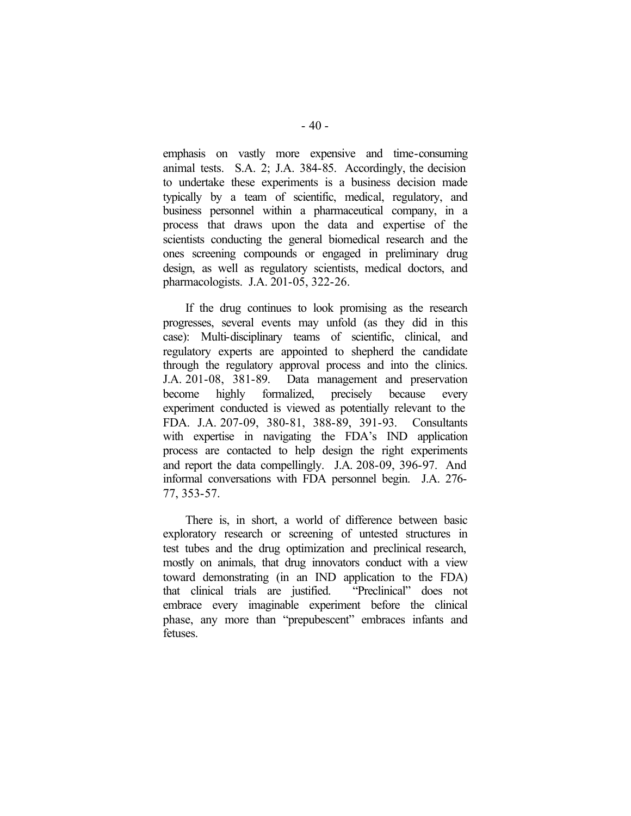emphasis on vastly more expensive and time-consuming animal tests. S.A. 2; J.A. 384-85. Accordingly, the decision to undertake these experiments is a business decision made typically by a team of scientific, medical, regulatory, and business personnel within a pharmaceutical company, in a process that draws upon the data and expertise of the scientists conducting the general biomedical research and the ones screening compounds or engaged in preliminary drug design, as well as regulatory scientists, medical doctors, and pharmacologists. J.A. 201-05, 322-26.

If the drug continues to look promising as the research progresses, several events may unfold (as they did in this case): Multi-disciplinary teams of scientific, clinical, and regulatory experts are appointed to shepherd the candidate through the regulatory approval process and into the clinics. J.A. 201-08, 381-89. Data management and preservation become highly formalized, precisely because every experiment conducted is viewed as potentially relevant to the FDA. J.A. 207-09, 380-81, 388-89, 391-93. Consultants with expertise in navigating the FDA's IND application process are contacted to help design the right experiments and report the data compellingly. J.A. 208-09, 396-97. And informal conversations with FDA personnel begin. J.A. 276- 77, 353-57.

There is, in short, a world of difference between basic exploratory research or screening of untested structures in test tubes and the drug optimization and preclinical research, mostly on animals, that drug innovators conduct with a view toward demonstrating (in an IND application to the FDA) that clinical trials are justified. "Preclinical" does not embrace every imaginable experiment before the clinical phase, any more than "prepubescent" embraces infants and fetuses.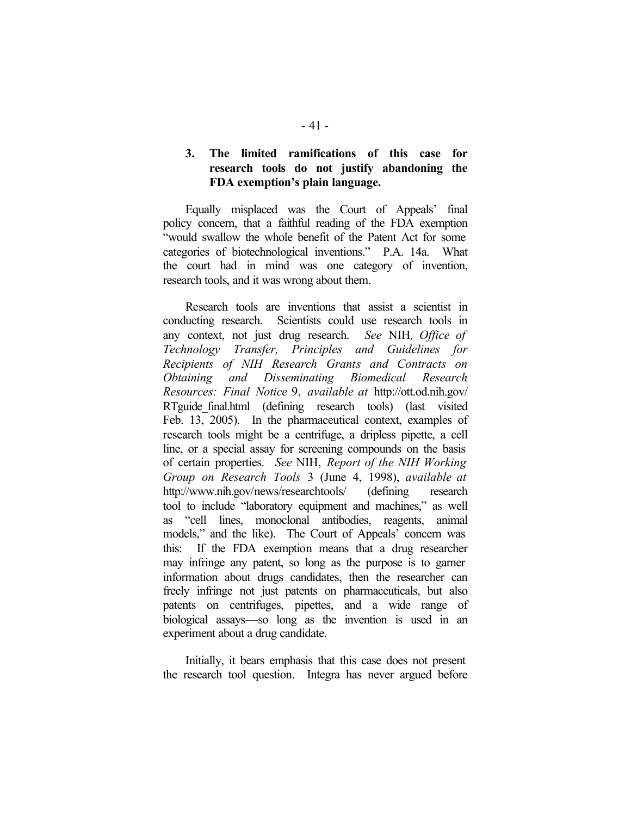## **3. The limited ramifications of this case for research tools do not justify abandoning the FDA exemption's plain language.**

Equally misplaced was the Court of Appeals' final policy concern, that a faithful reading of the FDA exemption "would swallow the whole benefit of the Patent Act for some categories of biotechnological inventions." P.A. 14a. What the court had in mind was one category of invention, research tools, and it was wrong about them.

Research tools are inventions that assist a scientist in conducting research. Scientists could use research tools in any context, not just drug research. *See* NIH*, Office of Technology Transfer, Principles and Guidelines for Recipients of NIH Research Grants and Contracts on Obtaining and Disseminating Biomedical Research Resources: Final Notice* 9, *available at* http://ott.od.nih.gov/ RTguide final.html (defining research tools) (last visited Feb. 13, 2005). In the pharmaceutical context, examples of research tools might be a centrifuge, a dripless pipette, a cell line, or a special assay for screening compounds on the basis of certain properties. *See* NIH, *Report of the NIH Working Group on Research Tools* 3 (June 4, 1998), *available at*  http://www.nih.gov/news/researchtools/ (defining research tool to include "laboratory equipment and machines," as well as "cell lines, monoclonal antibodies, reagents, animal models," and the like). The Court of Appeals' concern was this: If the FDA exemption means that a drug researcher may infringe any patent, so long as the purpose is to garner information about drugs candidates, then the researcher can freely infringe not just patents on pharmaceuticals, but also patents on centrifuges, pipettes, and a wide range of biological assays—so long as the invention is used in an experiment about a drug candidate.

Initially, it bears emphasis that this case does not present the research tool question. Integra has never argued before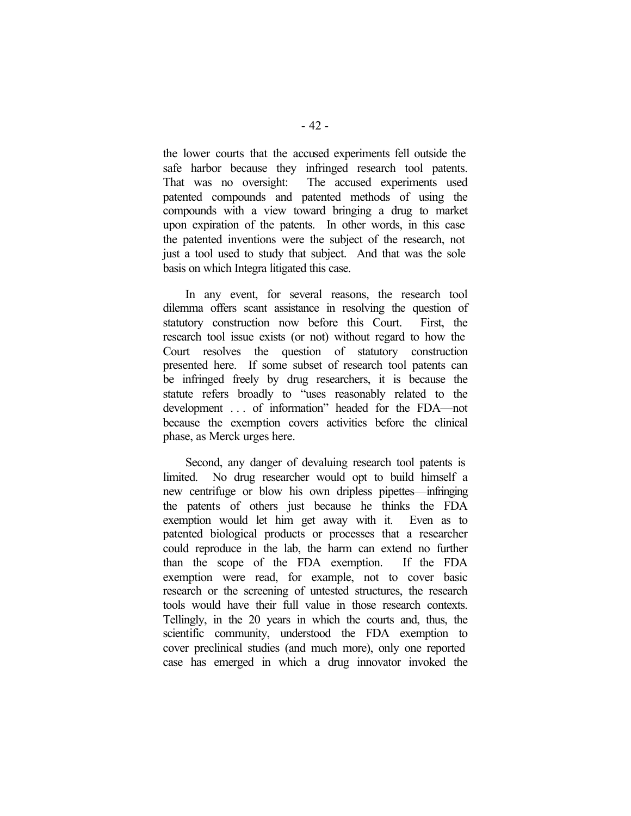the lower courts that the accused experiments fell outside the safe harbor because they infringed research tool patents. That was no oversight: The accused experiments used patented compounds and patented methods of using the compounds with a view toward bringing a drug to market upon expiration of the patents. In other words, in this case the patented inventions were the subject of the research, not just a tool used to study that subject. And that was the sole basis on which Integra litigated this case.

In any event, for several reasons, the research tool dilemma offers scant assistance in resolving the question of statutory construction now before this Court. First, the research tool issue exists (or not) without regard to how the Court resolves the question of statutory construction presented here. If some subset of research tool patents can be infringed freely by drug researchers, it is because the statute refers broadly to "uses reasonably related to the development . . . of information" headed for the FDA—not because the exemption covers activities before the clinical phase, as Merck urges here.

Second, any danger of devaluing research tool patents is limited. No drug researcher would opt to build himself a new centrifuge or blow his own dripless pipettes—infringing the patents of others just because he thinks the FDA exemption would let him get away with it. Even as to patented biological products or processes that a researcher could reproduce in the lab, the harm can extend no further than the scope of the FDA exemption. If the FDA exemption were read, for example, not to cover basic research or the screening of untested structures, the research tools would have their full value in those research contexts. Tellingly, in the 20 years in which the courts and, thus, the scientific community, understood the FDA exemption to cover preclinical studies (and much more), only one reported case has emerged in which a drug innovator invoked the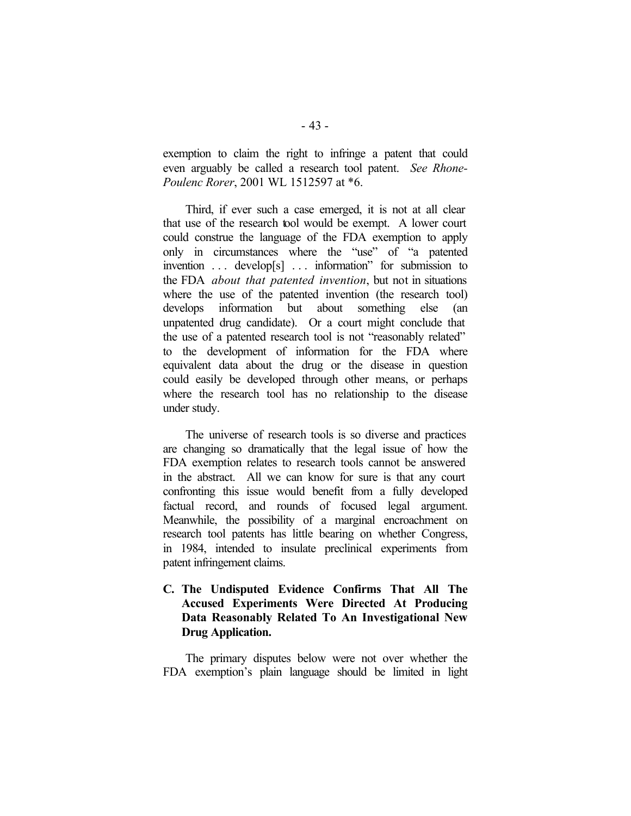exemption to claim the right to infringe a patent that could even arguably be called a research tool patent. *See Rhone-Poulenc Rorer*, 2001 WL 1512597 at \*6.

Third, if ever such a case emerged, it is not at all clear that use of the research tool would be exempt. A lower court could construe the language of the FDA exemption to apply only in circumstances where the "use" of "a patented invention . . . develop[s] . . . information" for submission to the FDA *about that patented invention*, but not in situations where the use of the patented invention (the research tool) develops information but about something else (an unpatented drug candidate). Or a court might conclude that the use of a patented research tool is not "reasonably related" to the development of information for the FDA where equivalent data about the drug or the disease in question could easily be developed through other means, or perhaps where the research tool has no relationship to the disease under study.

The universe of research tools is so diverse and practices are changing so dramatically that the legal issue of how the FDA exemption relates to research tools cannot be answered in the abstract. All we can know for sure is that any court confronting this issue would benefit from a fully developed factual record, and rounds of focused legal argument. Meanwhile, the possibility of a marginal encroachment on research tool patents has little bearing on whether Congress, in 1984, intended to insulate preclinical experiments from patent infringement claims.

# **C. The Undisputed Evidence Confirms That All The Accused Experiments Were Directed At Producing Data Reasonably Related To An Investigational New Drug Application.**

The primary disputes below were not over whether the FDA exemption's plain language should be limited in light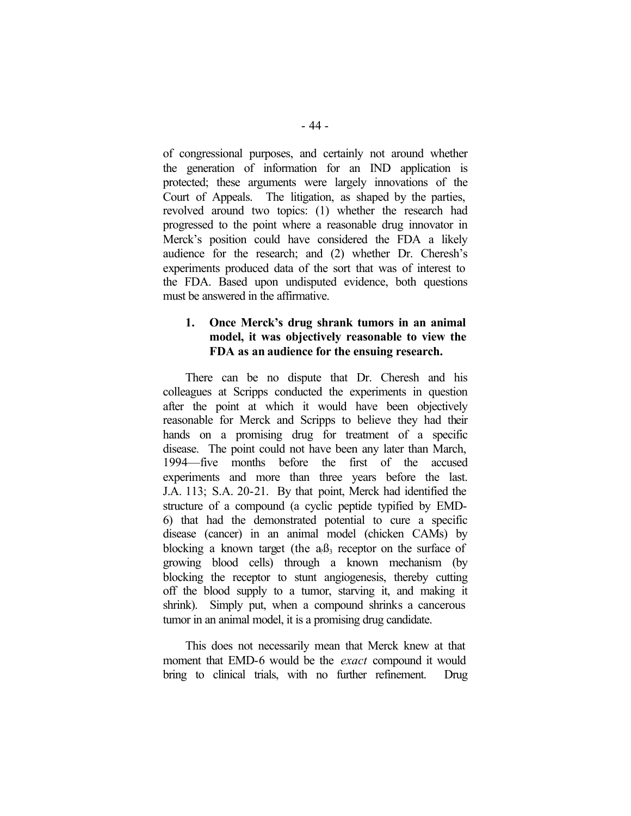of congressional purposes, and certainly not around whether the generation of information for an IND application is protected; these arguments were largely innovations of the Court of Appeals. The litigation, as shaped by the parties, revolved around two topics: (1) whether the research had progressed to the point where a reasonable drug innovator in Merck's position could have considered the FDA a likely audience for the research; and (2) whether Dr. Cheresh's experiments produced data of the sort that was of interest to the FDA. Based upon undisputed evidence, both questions must be answered in the affirmative.

### **1. Once Merck's drug shrank tumors in an animal model, it was objectively reasonable to view the FDA as an audience for the ensuing research.**

There can be no dispute that Dr. Cheresh and his colleagues at Scripps conducted the experiments in question after the point at which it would have been objectively reasonable for Merck and Scripps to believe they had their hands on a promising drug for treatment of a specific disease. The point could not have been any later than March, 1994—five months before the first of the accused experiments and more than three years before the last. J.A. 113; S.A. 20-21. By that point, Merck had identified the structure of a compound (a cyclic peptide typified by EMD-6) that had the demonstrated potential to cure a specific disease (cancer) in an animal model (chicken CAMs) by blocking a known target (the  $a_0B_3$  receptor on the surface of growing blood cells) through a known mechanism (by blocking the receptor to stunt angiogenesis, thereby cutting off the blood supply to a tumor, starving it, and making it shrink). Simply put, when a compound shrinks a cancerous tumor in an animal model, it is a promising drug candidate.

This does not necessarily mean that Merck knew at that moment that EMD-6 would be the *exact* compound it would bring to clinical trials, with no further refinement. Drug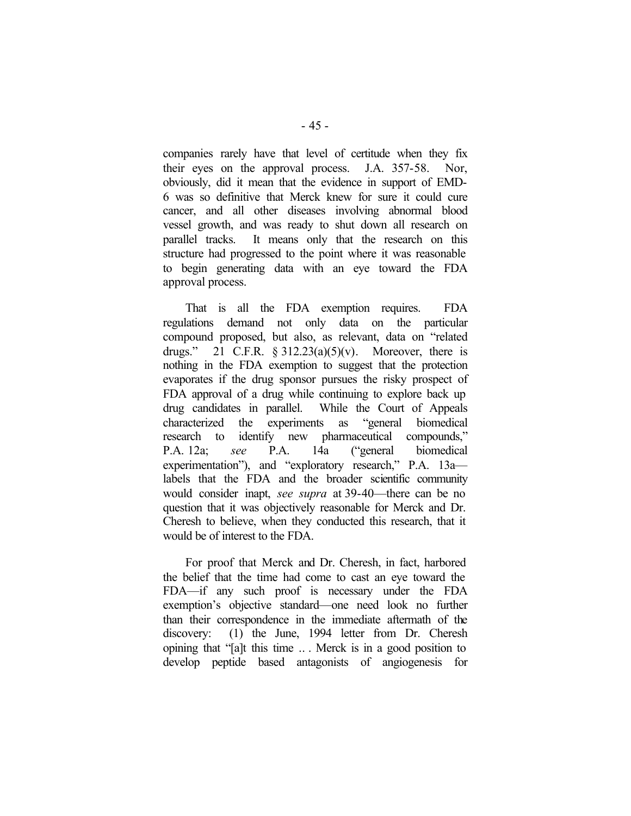companies rarely have that level of certitude when they fix their eyes on the approval process. J.A. 357-58. Nor, obviously, did it mean that the evidence in support of EMD-6 was so definitive that Merck knew for sure it could cure cancer, and all other diseases involving abnormal blood vessel growth, and was ready to shut down all research on parallel tracks. It means only that the research on this structure had progressed to the point where it was reasonable to begin generating data with an eye toward the FDA approval process.

That is all the FDA exemption requires. FDA regulations demand not only data on the particular compound proposed, but also, as relevant, data on "related drugs." 21 C.F.R.  $\S 312.23(a)(5)(v)$ . Moreover, there is nothing in the FDA exemption to suggest that the protection evaporates if the drug sponsor pursues the risky prospect of FDA approval of a drug while continuing to explore back up drug candidates in parallel. While the Court of Appeals characterized the experiments as "general biomedical research to identify new pharmaceutical compounds," P.A. 12a; *see* P.A. 14a ("general biomedical experimentation"), and "exploratory research," P.A. 13a labels that the FDA and the broader scientific community would consider inapt, *see supra* at 39-40—there can be no question that it was objectively reasonable for Merck and Dr. Cheresh to believe, when they conducted this research, that it would be of interest to the FDA.

For proof that Merck and Dr. Cheresh, in fact, harbored the belief that the time had come to cast an eye toward the FDA—if any such proof is necessary under the FDA exemption's objective standard—one need look no further than their correspondence in the immediate aftermath of the discovery: (1) the June, 1994 letter from Dr. Cheresh opining that "[a]t this time .. . Merck is in a good position to develop peptide based antagonists of angiogenesis for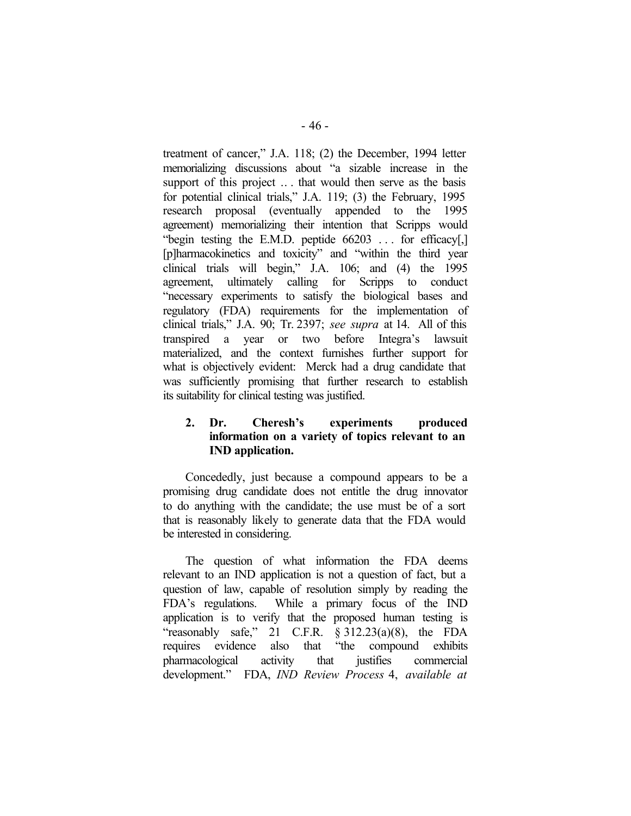treatment of cancer," J.A. 118; (2) the December, 1994 letter memorializing discussions about "a sizable increase in the support of this project ... that would then serve as the basis for potential clinical trials," J.A. 119; (3) the February, 1995 research proposal (eventually appended to the 1995 agreement) memorializing their intention that Scripps would "begin testing the E.M.D. peptide 66203 ... for efficacy[,] [p]harmacokinetics and toxicity" and "within the third year clinical trials will begin," J.A. 106; and (4) the 1995 agreement, ultimately calling for Scripps to conduct "necessary experiments to satisfy the biological bases and regulatory (FDA) requirements for the implementation of clinical trials," J.A. 90; Tr. 2397; *see supra* at 14. All of this transpired a year or two before Integra's lawsuit materialized, and the context furnishes further support for what is objectively evident: Merck had a drug candidate that was sufficiently promising that further research to establish its suitability for clinical testing was justified.

# **2. Dr. Cheresh's experiments produced information on a variety of topics relevant to an IND application.**

Concededly, just because a compound appears to be a promising drug candidate does not entitle the drug innovator to do anything with the candidate; the use must be of a sort that is reasonably likely to generate data that the FDA would be interested in considering.

The question of what information the FDA deems relevant to an IND application is not a question of fact, but a question of law, capable of resolution simply by reading the FDA's regulations. While a primary focus of the IND application is to verify that the proposed human testing is "reasonably safe," 21 C.F.R.  $\S 312.23(a)(8)$ , the FDA requires evidence also that "the compound exhibits pharmacological activity that justifies commercial development." FDA, *IND Review Process* 4, *available at*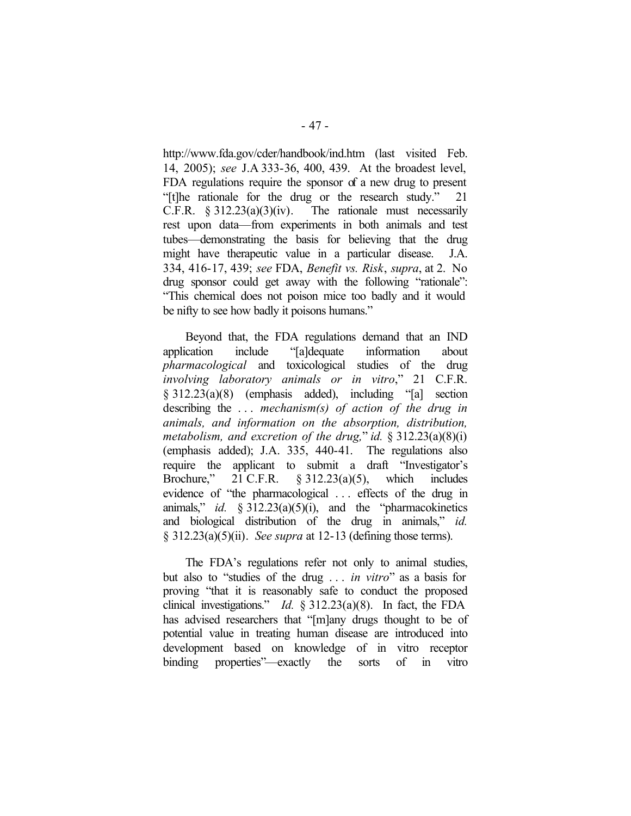http://www.fda.gov/cder/handbook/ind.htm (last visited Feb. 14, 2005); *see* J.A 333-36, 400, 439. At the broadest level, FDA regulations require the sponsor of a new drug to present "[t]he rationale for the drug or the research study." 21 C.F.R.  $\frac{2312.23(a)(3)(iv)}{i}$ . The rationale must necessarily rest upon data—from experiments in both animals and test tubes—demonstrating the basis for believing that the drug might have therapeutic value in a particular disease. J.A. 334, 416-17, 439; *see* FDA, *Benefit vs. Risk*, *supra*, at 2. No drug sponsor could get away with the following "rationale": "This chemical does not poison mice too badly and it would be nifty to see how badly it poisons humans."

Beyond that, the FDA regulations demand that an IND application include "[a]dequate information about *pharmacological* and toxicological studies of the drug *involving laboratory animals or in vitro*," 21 C.F.R. § 312.23(a)(8) (emphasis added), including "[a] section describing the . . . *mechanism(s) of action of the drug in animals, and information on the absorption, distribution, metabolism, and excretion of the drug,*" *id.* § 312.23(a)(8)(i) (emphasis added); J.A. 335, 440-41. The regulations also require the applicant to submit a draft "Investigator's Brochure," 21 C.F.R. § 312.23(a)(5), which includes evidence of "the pharmacological . . . effects of the drug in animals," *id.* § 312.23(a)(5)(i), and the "pharmacokinetics and biological distribution of the drug in animals," *id.*  § 312.23(a)(5)(ii). *See supra* at 12-13 (defining those terms).

The FDA's regulations refer not only to animal studies, but also to "studies of the drug . . . *in vitro*" as a basis for proving "that it is reasonably safe to conduct the proposed clinical investigations." *Id.* § 312.23(a)(8). In fact, the FDA has advised researchers that "[m]any drugs thought to be of potential value in treating human disease are introduced into development based on knowledge of in vitro receptor binding properties"—exactly the sorts of in vitro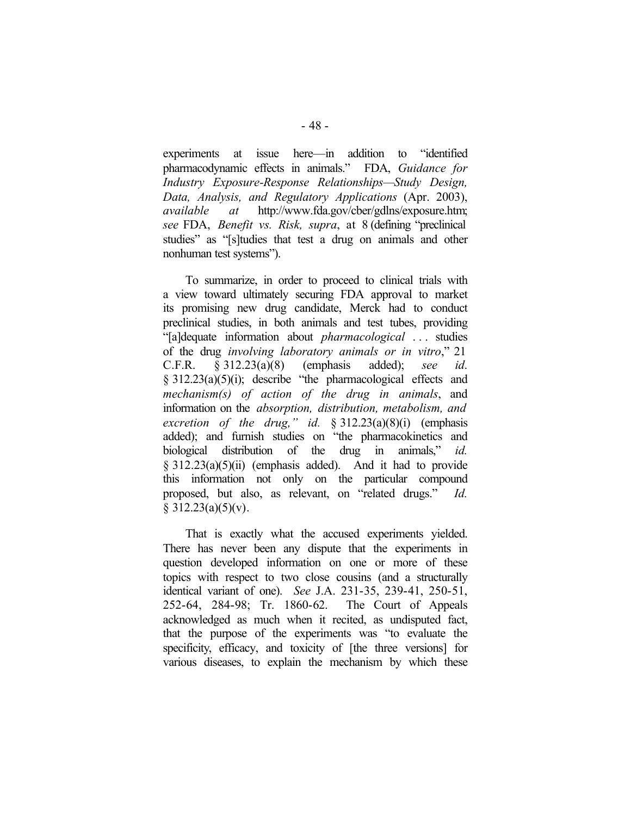experiments at issue here—in addition to "identified pharmacodynamic effects in animals." FDA, *Guidance for Industry Exposure-Response Relationships—Study Design, Data, Analysis, and Regulatory Applications* (Apr. 2003), *available at* http://www.fda.gov/cber/gdlns/exposure.htm; *see* FDA, *Benefit vs. Risk, supra*, at 8 (defining "preclinical studies" as "[s]tudies that test a drug on animals and other nonhuman test systems").

To summarize, in order to proceed to clinical trials with a view toward ultimately securing FDA approval to market its promising new drug candidate, Merck had to conduct preclinical studies, in both animals and test tubes, providing "[a]dequate information about *pharmacological* . . . studies of the drug *involving laboratory animals or in vitro*," 21 C.F.R. § 312.23(a)(8) (emphasis added); *see id*. § 312.23(a)(5)(i); describe "the pharmacological effects and *mechanism(s) of action of the drug in animals*, and information on the *absorption, distribution, metabolism, and excretion of the drug," id.* § 312.23(a)(8)(i) (emphasis added); and furnish studies on "the pharmacokinetics and biological distribution of the drug in animals," *id.*  § 312.23(a)(5)(ii) (emphasis added). And it had to provide this information not only on the particular compound proposed, but also, as relevant, on "related drugs." *Id.*   $§ 312.23(a)(5)(v).$ 

That is exactly what the accused experiments yielded. There has never been any dispute that the experiments in question developed information on one or more of these topics with respect to two close cousins (and a structurally identical variant of one). *See* J.A. 231-35, 239-41, 250-51, 252-64, 284-98; Tr. 1860-62. The Court of Appeals acknowledged as much when it recited, as undisputed fact, that the purpose of the experiments was "to evaluate the specificity, efficacy, and toxicity of [the three versions] for various diseases, to explain the mechanism by which these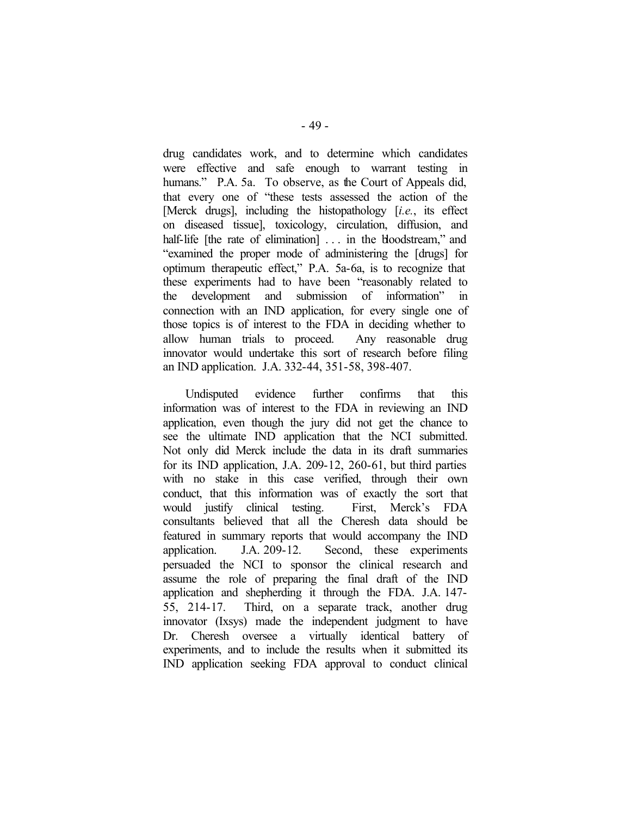drug candidates work, and to determine which candidates were effective and safe enough to warrant testing in humans." P.A. 5a. To observe, as the Court of Appeals did, that every one of "these tests assessed the action of the [Merck drugs], including the histopathology [*i.e.*, its effect on diseased tissue], toxicology, circulation, diffusion, and half-life [the rate of elimination] ... in the bloodstream," and "examined the proper mode of administering the [drugs] for optimum therapeutic effect," P.A. 5a-6a, is to recognize that these experiments had to have been "reasonably related to the development and submission of information" in connection with an IND application, for every single one of those topics is of interest to the FDA in deciding whether to allow human trials to proceed. Any reasonable drug innovator would undertake this sort of research before filing an IND application. J.A. 332-44, 351-58, 398-407.

Undisputed evidence further confirms that this information was of interest to the FDA in reviewing an IND application, even though the jury did not get the chance to see the ultimate IND application that the NCI submitted. Not only did Merck include the data in its draft summaries for its IND application, J.A. 209-12, 260-61, but third parties with no stake in this case verified, through their own conduct, that this information was of exactly the sort that would justify clinical testing. First, Merck's FDA consultants believed that all the Cheresh data should be featured in summary reports that would accompany the IND application. J.A. 209-12. Second, these experiments persuaded the NCI to sponsor the clinical research and assume the role of preparing the final draft of the IND application and shepherding it through the FDA. J.A. 147- 55, 214-17. Third, on a separate track, another drug innovator (Ixsys) made the independent judgment to have Dr. Cheresh oversee a virtually identical battery of experiments, and to include the results when it submitted its IND application seeking FDA approval to conduct clinical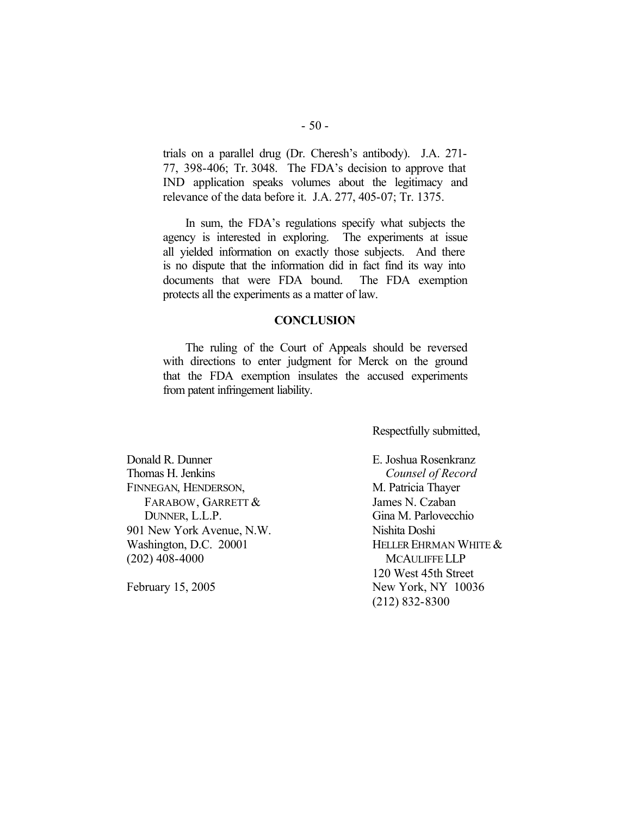trials on a parallel drug (Dr. Cheresh's antibody). J.A. 271- 77, 398-406; Tr. 3048. The FDA's decision to approve that IND application speaks volumes about the legitimacy and relevance of the data before it. J.A. 277, 405-07; Tr. 1375.

In sum, the FDA's regulations specify what subjects the agency is interested in exploring. The experiments at issue all yielded information on exactly those subjects. And there is no dispute that the information did in fact find its way into documents that were FDA bound. The FDA exemption protects all the experiments as a matter of law.

### **CONCLUSION**

The ruling of the Court of Appeals should be reversed with directions to enter judgment for Merck on the ground that the FDA exemption insulates the accused experiments from patent infringement liability.

Respectfully submitted,

Donald R. Dunner Thomas H. Jenkins FINNEGAN, HENDERSON, FARABOW, GARRETT & DUNNER, L.L.P. 901 New York Avenue, N.W. Washington, D.C. 20001 (202) 408-4000

February 15, 2005

E. Joshua Rosenkranz *Counsel of Record* M. Patricia Thayer James N. Czaban Gina M. Parlovecchio Nishita Doshi HELLER EHRMAN WHITE & MCAULIFFE LLP 120 West 45th Street New York, NY 10036 (212) 832-8300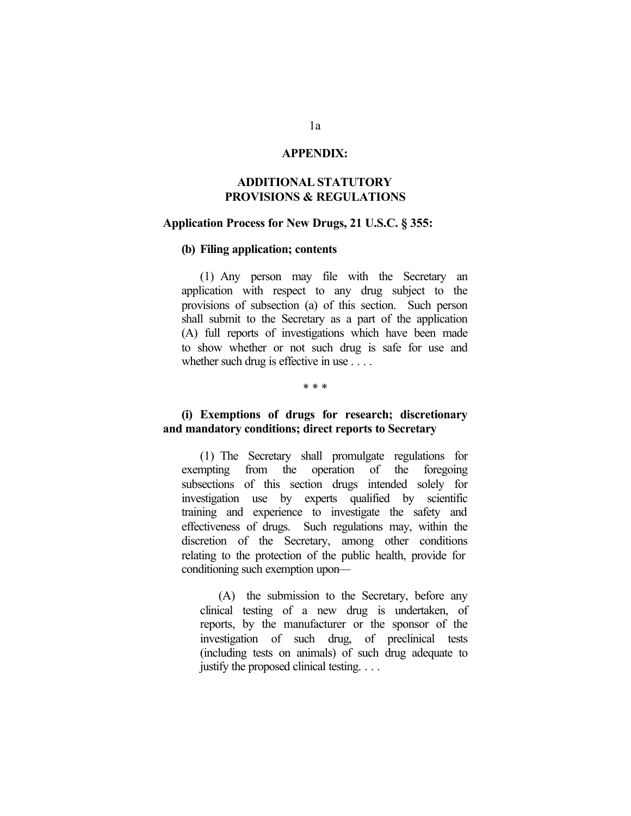### **APPENDIX:**

# **ADDITIONAL STATUTORY PROVISIONS & REGULATIONS**

### **Application Process for New Drugs, 21 U.S.C. § 355:**

### **(b) Filing application; contents**

(1) Any person may file with the Secretary an application with respect to any drug subject to the provisions of subsection (a) of this section. Such person shall submit to the Secretary as a part of the application (A) full reports of investigations which have been made to show whether or not such drug is safe for use and whether such drug is effective in use . . . .

#### \* \* \*

### **(i) Exemptions of drugs for research; discretionary and mandatory conditions; direct reports to Secretary**

(1) The Secretary shall promulgate regulations for exempting from the operation of the foregoing subsections of this section drugs intended solely for investigation use by experts qualified by scientific training and experience to investigate the safety and effectiveness of drugs. Such regulations may, within the discretion of the Secretary, among other conditions relating to the protection of the public health, provide for conditioning such exemption upon—

(A) the submission to the Secretary, before any clinical testing of a new drug is undertaken, of reports, by the manufacturer or the sponsor of the investigation of such drug, of preclinical tests (including tests on animals) of such drug adequate to justify the proposed clinical testing. . . .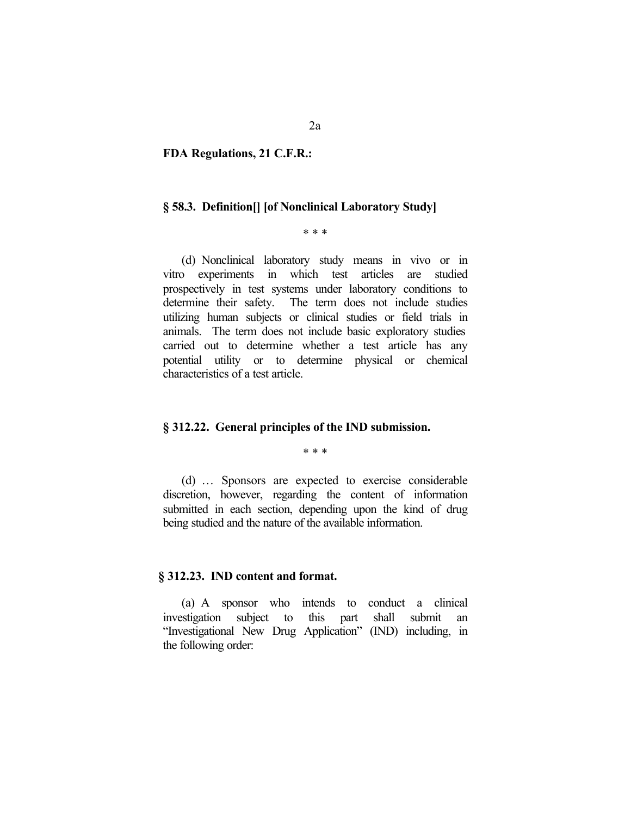### **FDA Regulations, 21 C.F.R.:**

#### **§ 58.3. Definition[] [of Nonclinical Laboratory Study]**

#### \* \* \*

(d) Nonclinical laboratory study means in vivo or in vitro experiments in which test articles are studied prospectively in test systems under laboratory conditions to determine their safety. The term does not include studies utilizing human subjects or clinical studies or field trials in animals. The term does not include basic exploratory studies carried out to determine whether a test article has any potential utility or to determine physical or chemical characteristics of a test article.

### **§ 312.22. General principles of the IND submission.**

\* \* \*

(d) … Sponsors are expected to exercise considerable discretion, however, regarding the content of information submitted in each section, depending upon the kind of drug being studied and the nature of the available information.

#### **§ 312.23. IND content and format.**

(a) A sponsor who intends to conduct a clinical investigation subject to this part shall submit an "Investigational New Drug Application" (IND) including, in the following order: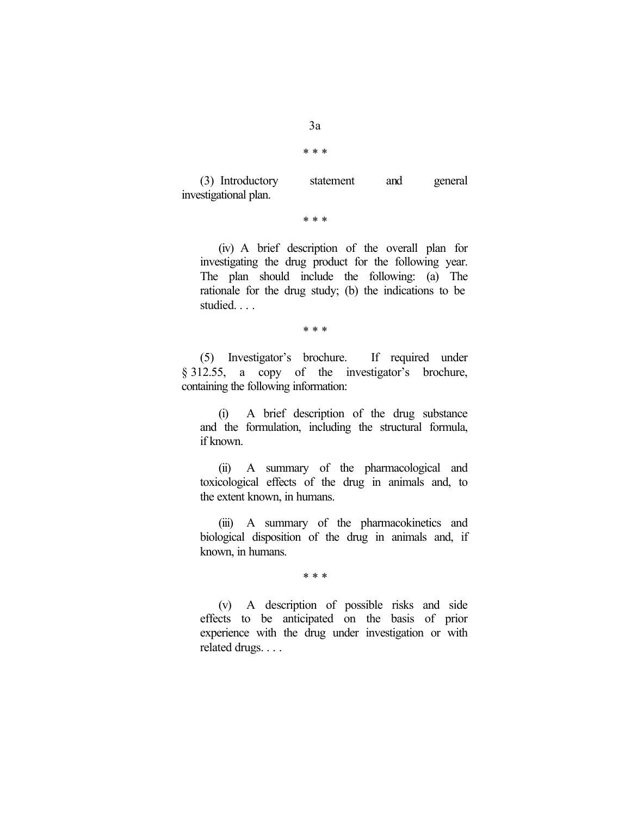\* \* \*

(3) Introductory statement and general investigational plan.

\* \* \*

(iv) A brief description of the overall plan for investigating the drug product for the following year. The plan should include the following: (a) The rationale for the drug study; (b) the indications to be studied. . . .

\* \* \*

(5) Investigator's brochure. If required under § 312.55, a copy of the investigator's brochure, containing the following information:

(i) A brief description of the drug substance and the formulation, including the structural formula, if known.

(ii) A summary of the pharmacological and toxicological effects of the drug in animals and, to the extent known, in humans.

(iii) A summary of the pharmacokinetics and biological disposition of the drug in animals and, if known, in humans.

\* \* \*

(v) A description of possible risks and side effects to be anticipated on the basis of prior experience with the drug under investigation or with related drugs. . . .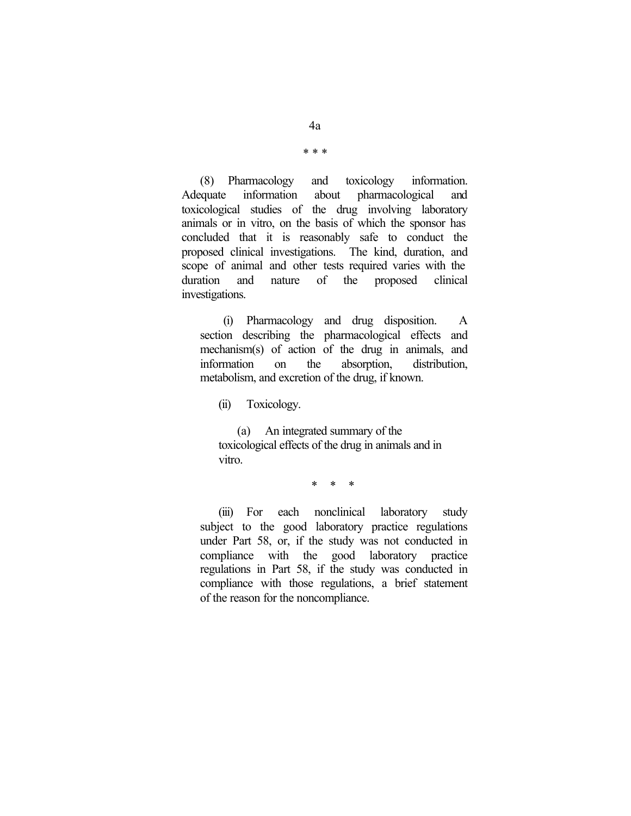\* \* \*

(8) Pharmacology and toxicology information. Adequate information about pharmacological and toxicological studies of the drug involving laboratory animals or in vitro, on the basis of which the sponsor has concluded that it is reasonably safe to conduct the proposed clinical investigations. The kind, duration, and scope of animal and other tests required varies with the duration and nature of the proposed clinical investigations.

(i) Pharmacology and drug disposition. A section describing the pharmacological effects and mechanism(s) of action of the drug in animals, and information on the absorption, distribution, metabolism, and excretion of the drug, if known.

(ii) Toxicology.

(a) An integrated summary of the toxicological effects of the drug in animals and in vitro.

\* \* \*

(iii) For each nonclinical laboratory study subject to the good laboratory practice regulations under Part 58, or, if the study was not conducted in compliance with the good laboratory practice regulations in Part 58, if the study was conducted in compliance with those regulations, a brief statement of the reason for the noncompliance.